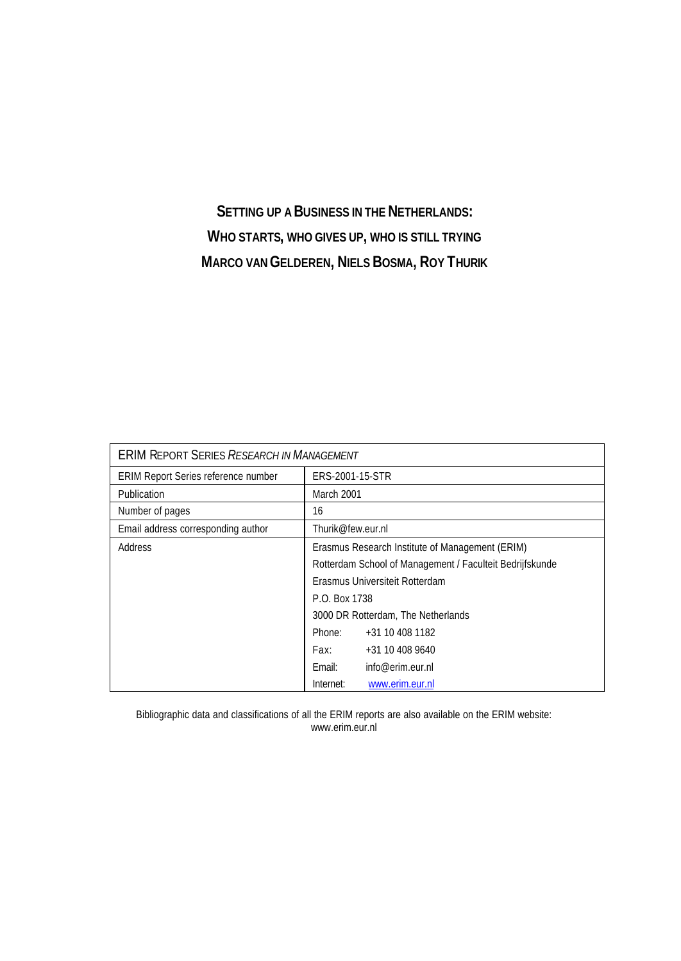# **SETTING UP A BUSINESS IN THE NETHERLANDS: WHO STARTS, WHO GIVES UP, WHO IS STILL TRYING MARCO VAN GELDEREN, NIELS BOSMA, ROY THURIK**

|                                     | <b>ERIM REPORT SERIES RESEARCH IN MANAGEMENT</b>         |                                                 |  |  |  |  |  |  |  |
|-------------------------------------|----------------------------------------------------------|-------------------------------------------------|--|--|--|--|--|--|--|
| ERIM Report Series reference number | ERS-2001-15-STR                                          |                                                 |  |  |  |  |  |  |  |
| Publication                         | March 2001                                               |                                                 |  |  |  |  |  |  |  |
| Number of pages                     | 16                                                       |                                                 |  |  |  |  |  |  |  |
| Email address corresponding author  | Thurik@few.eur.nl                                        |                                                 |  |  |  |  |  |  |  |
| Address                             |                                                          | Erasmus Research Institute of Management (ERIM) |  |  |  |  |  |  |  |
|                                     | Rotterdam School of Management / Faculteit Bedrijfskunde |                                                 |  |  |  |  |  |  |  |
|                                     |                                                          | Erasmus Universiteit Rotterdam                  |  |  |  |  |  |  |  |
|                                     | P.O. Box 1738                                            |                                                 |  |  |  |  |  |  |  |
|                                     |                                                          | 3000 DR Rotterdam, The Netherlands              |  |  |  |  |  |  |  |
|                                     | Phone:                                                   | +31 10 408 1182                                 |  |  |  |  |  |  |  |
|                                     | Fax:                                                     | +31 10 408 9640                                 |  |  |  |  |  |  |  |
|                                     | Email:                                                   | info@erim.eur.nl                                |  |  |  |  |  |  |  |
|                                     | Internet:                                                | www.erim.eur.nl                                 |  |  |  |  |  |  |  |

Bibliographic data and classifications of all the ERIM reports are also available on the ERIM website: www.erim.eur.nl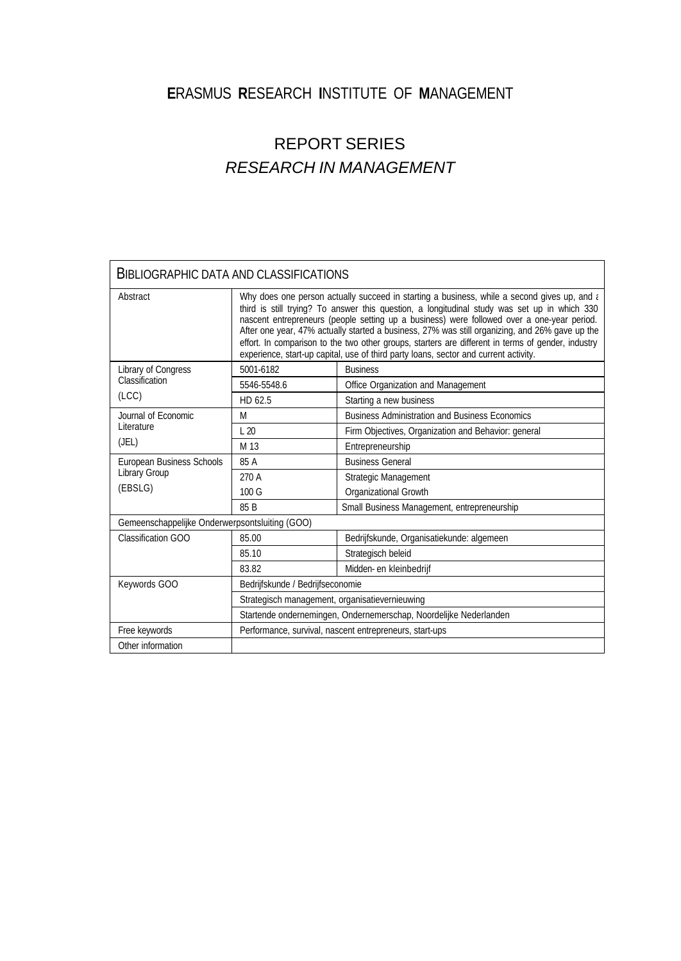## **E**RASMUS **R**ESEARCH **I**NSTITUTE OF **M**ANAGEMENT

# REPORT SERIES *RESEARCH IN MANAGEMENT*

|                                                | BIBLIOGRAPHIC DATA AND CLASSIFICATIONS         |                                                                                                                                                                                                                                                                                                                                                                                                                                                                                                                                                                                           |  |  |  |  |  |  |  |  |  |
|------------------------------------------------|------------------------------------------------|-------------------------------------------------------------------------------------------------------------------------------------------------------------------------------------------------------------------------------------------------------------------------------------------------------------------------------------------------------------------------------------------------------------------------------------------------------------------------------------------------------------------------------------------------------------------------------------------|--|--|--|--|--|--|--|--|--|
| Abstract                                       |                                                | Why does one person actually succeed in starting a business, while a second gives up, and a<br>third is still trying? To answer this question, a longitudinal study was set up in which 330<br>nascent entrepreneurs (people setting up a business) were followed over a one-year period.<br>After one year, 47% actually started a business, 27% was still organizing, and 26% gave up the<br>effort. In comparison to the two other groups, starters are different in terms of gender, industry<br>experience, start-up capital, use of third party loans, sector and current activity. |  |  |  |  |  |  |  |  |  |
| Library of Congress                            | 5001-6182                                      | <b>Business</b>                                                                                                                                                                                                                                                                                                                                                                                                                                                                                                                                                                           |  |  |  |  |  |  |  |  |  |
| Classification                                 | 5546-5548.6                                    | Office Organization and Management                                                                                                                                                                                                                                                                                                                                                                                                                                                                                                                                                        |  |  |  |  |  |  |  |  |  |
| (ICC)                                          | HD 62.5                                        | Starting a new business                                                                                                                                                                                                                                                                                                                                                                                                                                                                                                                                                                   |  |  |  |  |  |  |  |  |  |
| Journal of Economic<br>Literature              | M                                              | <b>Business Administration and Business Economics</b>                                                                                                                                                                                                                                                                                                                                                                                                                                                                                                                                     |  |  |  |  |  |  |  |  |  |
|                                                | $\perp$ 20                                     | Firm Objectives, Organization and Behavior: general                                                                                                                                                                                                                                                                                                                                                                                                                                                                                                                                       |  |  |  |  |  |  |  |  |  |
| (JEL)                                          | M 13                                           | Entrepreneurship                                                                                                                                                                                                                                                                                                                                                                                                                                                                                                                                                                          |  |  |  |  |  |  |  |  |  |
| European Business Schools                      | 85 A                                           | <b>Business General</b>                                                                                                                                                                                                                                                                                                                                                                                                                                                                                                                                                                   |  |  |  |  |  |  |  |  |  |
| <b>Library Group</b>                           | 270 A                                          | Strategic Management                                                                                                                                                                                                                                                                                                                                                                                                                                                                                                                                                                      |  |  |  |  |  |  |  |  |  |
| (EBSLG)                                        | 100G                                           | Organizational Growth                                                                                                                                                                                                                                                                                                                                                                                                                                                                                                                                                                     |  |  |  |  |  |  |  |  |  |
|                                                | 85 <sub>B</sub>                                | Small Business Management, entrepreneurship                                                                                                                                                                                                                                                                                                                                                                                                                                                                                                                                               |  |  |  |  |  |  |  |  |  |
| Gemeenschappelijke Onderwerpsontsluiting (GOO) |                                                |                                                                                                                                                                                                                                                                                                                                                                                                                                                                                                                                                                                           |  |  |  |  |  |  |  |  |  |
| Classification GOO                             | 85.00                                          | Bedrijfskunde, Organisatiekunde: algemeen                                                                                                                                                                                                                                                                                                                                                                                                                                                                                                                                                 |  |  |  |  |  |  |  |  |  |
|                                                | 85.10                                          | Strategisch beleid                                                                                                                                                                                                                                                                                                                                                                                                                                                                                                                                                                        |  |  |  |  |  |  |  |  |  |
|                                                | 83.82                                          | Midden- en kleinbedrijf                                                                                                                                                                                                                                                                                                                                                                                                                                                                                                                                                                   |  |  |  |  |  |  |  |  |  |
| Keywords GOO                                   | Bedrijfskunde / Bedrijfseconomie               |                                                                                                                                                                                                                                                                                                                                                                                                                                                                                                                                                                                           |  |  |  |  |  |  |  |  |  |
|                                                | Strategisch management, organisatievernieuwing |                                                                                                                                                                                                                                                                                                                                                                                                                                                                                                                                                                                           |  |  |  |  |  |  |  |  |  |
|                                                |                                                | Startende ondernemingen, Ondernemerschap, Noordelijke Nederlanden                                                                                                                                                                                                                                                                                                                                                                                                                                                                                                                         |  |  |  |  |  |  |  |  |  |
| Free keywords                                  |                                                | Performance, survival, nascent entrepreneurs, start-ups                                                                                                                                                                                                                                                                                                                                                                                                                                                                                                                                   |  |  |  |  |  |  |  |  |  |
| Other information                              |                                                |                                                                                                                                                                                                                                                                                                                                                                                                                                                                                                                                                                                           |  |  |  |  |  |  |  |  |  |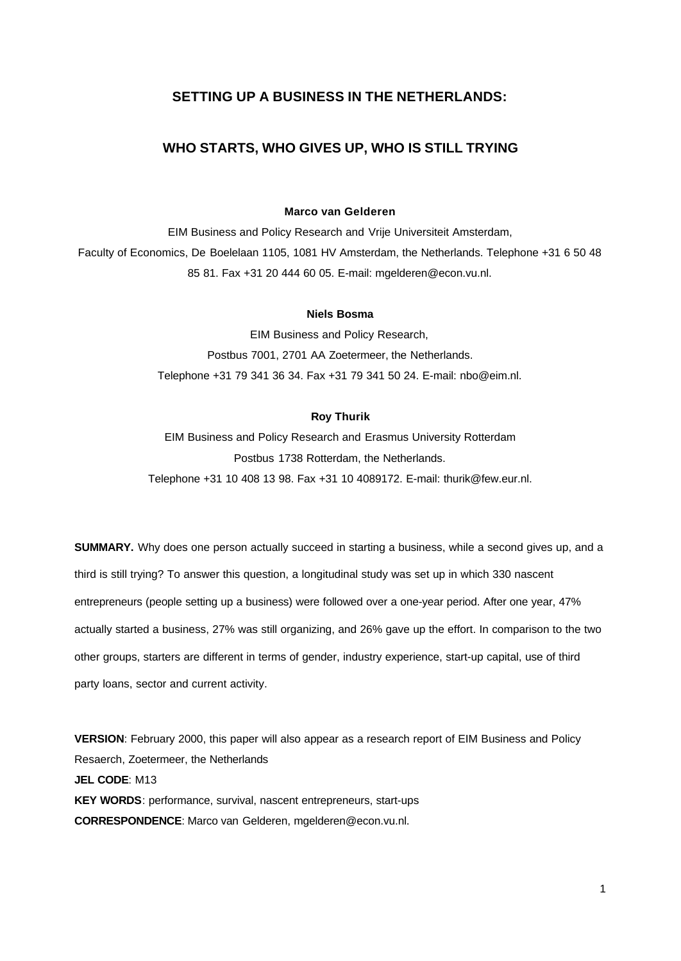## **SETTING UP A BUSINESS IN THE NETHERLANDS:**

## **WHO STARTS, WHO GIVES UP, WHO IS STILL TRYING**

#### **Marco van Gelderen**

EIM Business and Policy Research and Vrije Universiteit Amsterdam, Faculty of Economics, De Boelelaan 1105, 1081 HV Amsterdam, the Netherlands. Telephone +31 6 50 48 85 81. Fax +31 20 444 60 05. E-mail: mgelderen@econ.vu.nl.

#### **Niels Bosma**

EIM Business and Policy Research, Postbus 7001, 2701 AA Zoetermeer, the Netherlands. Telephone +31 79 341 36 34. Fax +31 79 341 50 24. E-mail: nbo@eim.nl.

#### **Roy Thurik**

EIM Business and Policy Research and Erasmus University Rotterdam Postbus 1738 Rotterdam, the Netherlands. Telephone +31 10 408 13 98. Fax +31 10 4089172. E-mail: thurik@few.eur.nl.

**SUMMARY.** Why does one person actually succeed in starting a business, while a second gives up, and a third is still trying? To answer this question, a longitudinal study was set up in which 330 nascent entrepreneurs (people setting up a business) were followed over a one-year period. After one year, 47% actually started a business, 27% was still organizing, and 26% gave up the effort. In comparison to the two other groups, starters are different in terms of gender, industry experience, start-up capital, use of third party loans, sector and current activity.

**VERSION**: February 2000, this paper will also appear as a research report of EIM Business and Policy Resaerch, Zoetermeer, the Netherlands **JEL CODE**: M13 **KEY WORDS**: performance, survival, nascent entrepreneurs, start-ups **CORRESPONDENCE**: Marco van Gelderen, mgelderen@econ.vu.nl.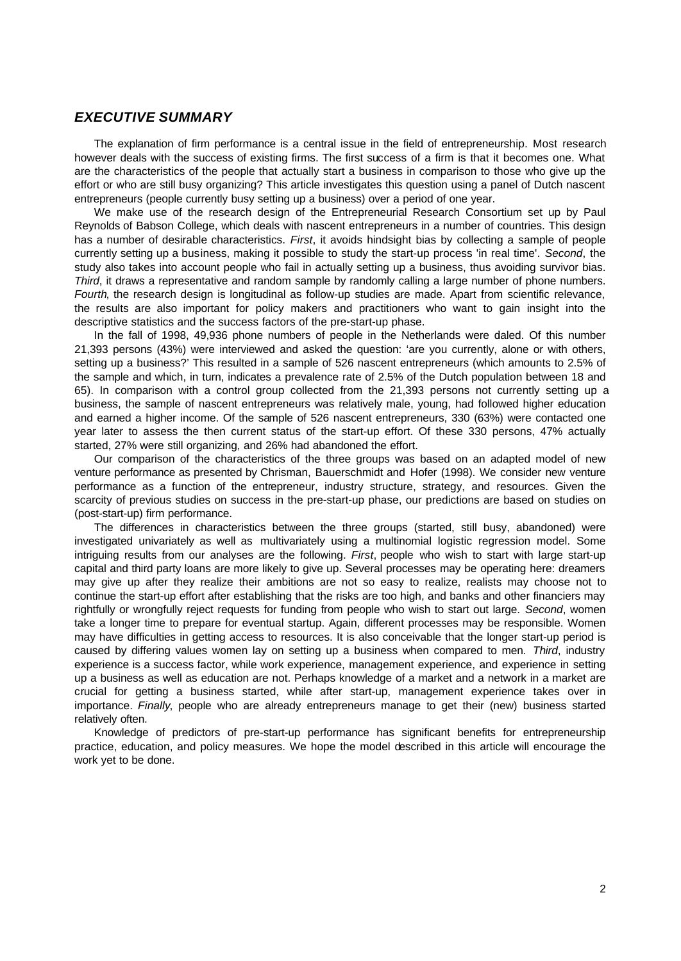### *EXECUTIVE SUMMARY*

The explanation of firm performance is a central issue in the field of entrepreneurship. Most research however deals with the success of existing firms. The first success of a firm is that it becomes one. What are the characteristics of the people that actually start a business in comparison to those who give up the effort or who are still busy organizing? This article investigates this question using a panel of Dutch nascent entrepreneurs (people currently busy setting up a business) over a period of one year.

We make use of the research design of the Entrepreneurial Research Consortium set up by Paul Reynolds of Babson College, which deals with nascent entrepreneurs in a number of countries. This design has a number of desirable characteristics. *First*, it avoids hindsight bias by collecting a sample of people currently setting up a business, making it possible to study the start-up process 'in real time'. *Second*, the study also takes into account people who fail in actually setting up a business, thus avoiding survivor bias. *Third*, it draws a representative and random sample by randomly calling a large number of phone numbers. *Fourth*, the research design is longitudinal as follow-up studies are made. Apart from scientific relevance, the results are also important for policy makers and practitioners who want to gain insight into the descriptive statistics and the success factors of the pre-start-up phase.

In the fall of 1998, 49,936 phone numbers of people in the Netherlands were daled. Of this number 21,393 persons (43%) were interviewed and asked the question: 'are you currently, alone or with others, setting up a business?' This resulted in a sample of 526 nascent entrepreneurs (which amounts to 2.5% of the sample and which, in turn, indicates a prevalence rate of 2.5% of the Dutch population between 18 and 65). In comparison with a control group collected from the 21,393 persons not currently setting up a business, the sample of nascent entrepreneurs was relatively male, young, had followed higher education and earned a higher income. Of the sample of 526 nascent entrepreneurs, 330 (63%) were contacted one year later to assess the then current status of the start-up effort. Of these 330 persons, 47% actually started, 27% were still organizing, and 26% had abandoned the effort.

Our comparison of the characteristics of the three groups was based on an adapted model of new venture performance as presented by Chrisman, Bauerschmidt and Hofer (1998). We consider new venture performance as a function of the entrepreneur, industry structure, strategy, and resources. Given the scarcity of previous studies on success in the pre-start-up phase, our predictions are based on studies on (post-start-up) firm performance.

The differences in characteristics between the three groups (started, still busy, abandoned) were investigated univariately as well as multivariately using a multinomial logistic regression model. Some intriguing results from our analyses are the following. *First*, people who wish to start with large start-up capital and third party loans are more likely to give up. Several processes may be operating here: dreamers may give up after they realize their ambitions are not so easy to realize, realists may choose not to continue the start-up effort after establishing that the risks are too high, and banks and other financiers may rightfully or wrongfully reject requests for funding from people who wish to start out large. *Second*, women take a longer time to prepare for eventual startup. Again, different processes may be responsible. Women may have difficulties in getting access to resources. It is also conceivable that the longer start-up period is caused by differing values women lay on setting up a business when compared to men. *Third*, industry experience is a success factor, while work experience, management experience, and experience in setting up a business as well as education are not. Perhaps knowledge of a market and a network in a market are crucial for getting a business started, while after start-up, management experience takes over in importance. *Finally*, people who are already entrepreneurs manage to get their (new) business started relatively often.

Knowledge of predictors of pre-start-up performance has significant benefits for entrepreneurship practice, education, and policy measures. We hope the model described in this article will encourage the work yet to be done.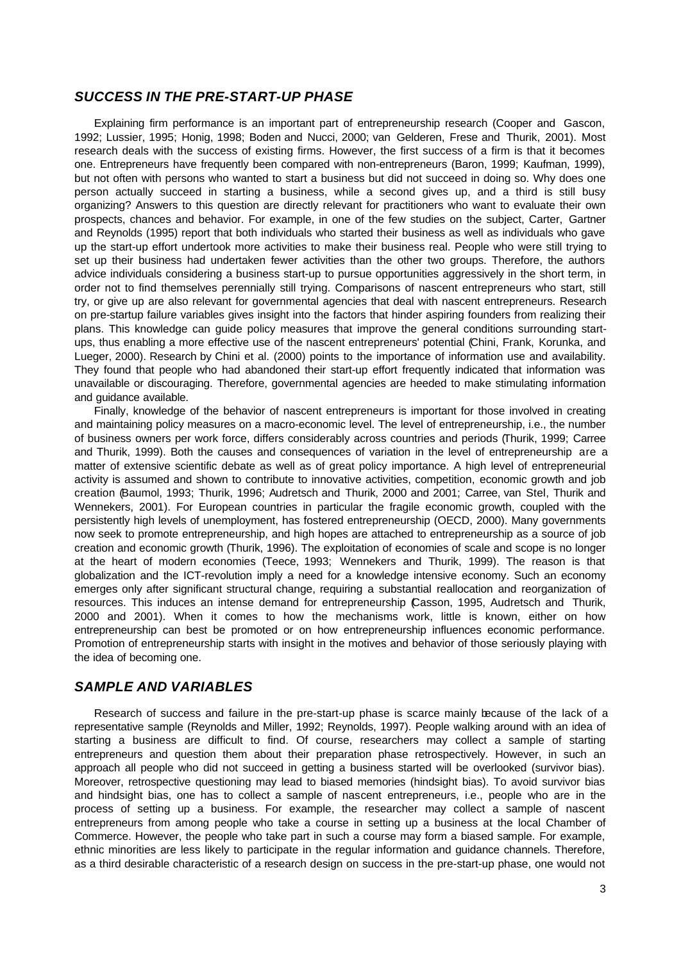## *SUCCESS IN THE PRE-START-UP PHASE*

Explaining firm performance is an important part of entrepreneurship research (Cooper and Gascon, 1992; Lussier, 1995; Honig, 1998; Boden and Nucci, 2000; van Gelderen, Frese and Thurik, 2001). Most research deals with the success of existing firms. However, the first success of a firm is that it becomes one. Entrepreneurs have frequently been compared with non-entrepreneurs (Baron, 1999; Kaufman, 1999), but not often with persons who wanted to start a business but did not succeed in doing so. Why does one person actually succeed in starting a business, while a second gives up, and a third is still busy organizing? Answers to this question are directly relevant for practitioners who want to evaluate their own prospects, chances and behavior. For example, in one of the few studies on the subject, Carter, Gartner and Reynolds (1995) report that both individuals who started their business as well as individuals who gave up the start-up effort undertook more activities to make their business real. People who were still trying to set up their business had undertaken fewer activities than the other two groups. Therefore, the authors advice individuals considering a business start-up to pursue opportunities aggressively in the short term, in order not to find themselves perennially still trying. Comparisons of nascent entrepreneurs who start, still try, or give up are also relevant for governmental agencies that deal with nascent entrepreneurs. Research on pre-startup failure variables gives insight into the factors that hinder aspiring founders from realizing their plans. This knowledge can guide policy measures that improve the general conditions surrounding startups, thus enabling a more effective use of the nascent entrepreneurs' potential (Chini, Frank, Korunka, and Lueger, 2000). Research by Chini et al. (2000) points to the importance of information use and availability. They found that people who had abandoned their start-up effort frequently indicated that information was unavailable or discouraging. Therefore, governmental agencies are heeded to make stimulating information and guidance available.

Finally, knowledge of the behavior of nascent entrepreneurs is important for those involved in creating and maintaining policy measures on a macro-economic level. The level of entrepreneurship, i.e., the number of business owners per work force, differs considerably across countries and periods (Thurik, 1999; Carree and Thurik, 1999). Both the causes and consequences of variation in the level of entrepreneurship are a matter of extensive scientific debate as well as of great policy importance. A high level of entrepreneurial activity is assumed and shown to contribute to innovative activities, competition, economic growth and job creation (Baumol, 1993; Thurik, 1996; Audretsch and Thurik, 2000 and 2001; Carree, van Stel, Thurik and Wennekers, 2001). For European countries in particular the fragile economic growth, coupled with the persistently high levels of unemployment, has fostered entrepreneurship (OECD, 2000). Many governments now seek to promote entrepreneurship, and high hopes are attached to entrepreneurship as a source of job creation and economic growth (Thurik, 1996). The exploitation of economies of scale and scope is no longer at the heart of modern economies (Teece, 1993; Wennekers and Thurik, 1999). The reason is that globalization and the ICT-revolution imply a need for a knowledge intensive economy. Such an economy emerges only after significant structural change, requiring a substantial reallocation and reorganization of resources. This induces an intense demand for entrepreneurship (Casson, 1995, Audretsch and Thurik, 2000 and 2001). When it comes to how the mechanisms work, little is known, either on how entrepreneurship can best be promoted or on how entrepreneurship influences economic performance. Promotion of entrepreneurship starts with insight in the motives and behavior of those seriously playing with the idea of becoming one.

## *SAMPLE AND VARIABLES*

Research of success and failure in the pre-start-up phase is scarce mainly because of the lack of a representative sample (Reynolds and Miller, 1992; Reynolds, 1997). People walking around with an idea of starting a business are difficult to find. Of course, researchers may collect a sample of starting entrepreneurs and question them about their preparation phase retrospectively. However, in such an approach all people who did not succeed in getting a business started will be overlooked (survivor bias). Moreover, retrospective questioning may lead to biased memories (hindsight bias). To avoid survivor bias and hindsight bias, one has to collect a sample of nascent entrepreneurs, i.e., people who are in the process of setting up a business. For example, the researcher may collect a sample of nascent entrepreneurs from among people who take a course in setting up a business at the local Chamber of Commerce. However, the people who take part in such a course may form a biased sample. For example, ethnic minorities are less likely to participate in the regular information and guidance channels. Therefore, as a third desirable characteristic of a research design on success in the pre-start-up phase, one would not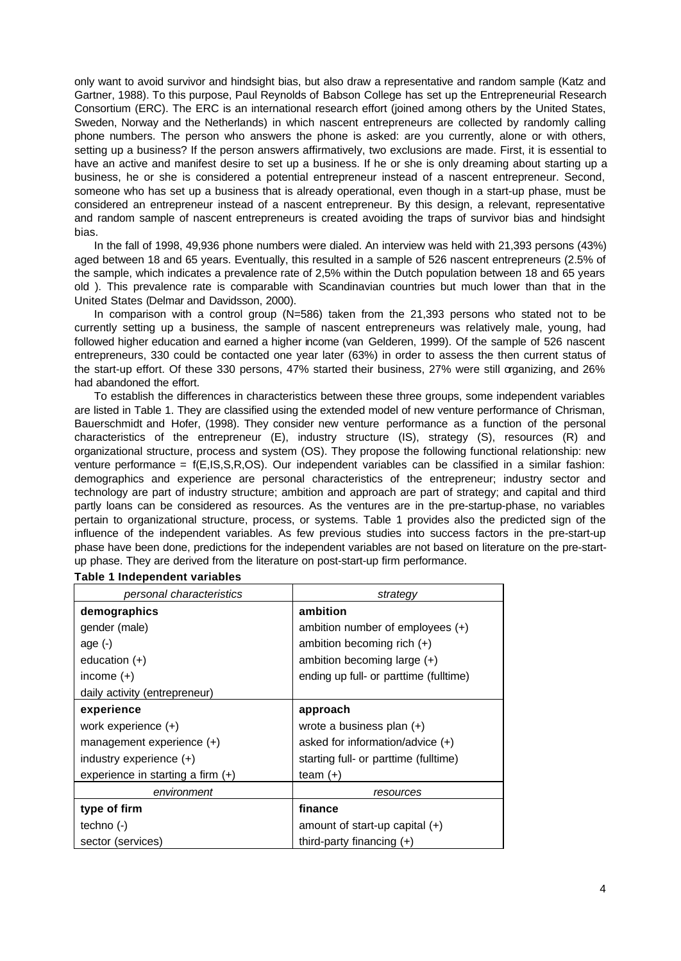only want to avoid survivor and hindsight bias, but also draw a representative and random sample (Katz and Gartner, 1988). To this purpose, Paul Reynolds of Babson College has set up the Entrepreneurial Research Consortium (ERC). The ERC is an international research effort (joined among others by the United States, Sweden, Norway and the Netherlands) in which nascent entrepreneurs are collected by randomly calling phone numbers. The person who answers the phone is asked: are you currently, alone or with others, setting up a business? If the person answers affirmatively, two exclusions are made. First, it is essential to have an active and manifest desire to set up a business. If he or she is only dreaming about starting up a business, he or she is considered a potential entrepreneur instead of a nascent entrepreneur. Second, someone who has set up a business that is already operational, even though in a start-up phase, must be considered an entrepreneur instead of a nascent entrepreneur. By this design, a relevant, representative and random sample of nascent entrepreneurs is created avoiding the traps of survivor bias and hindsight bias.

In the fall of 1998, 49,936 phone numbers were dialed. An interview was held with 21,393 persons (43%) aged between 18 and 65 years. Eventually, this resulted in a sample of 526 nascent entrepreneurs (2.5% of the sample, which indicates a prevalence rate of 2,5% within the Dutch population between 18 and 65 years old ). This prevalence rate is comparable with Scandinavian countries but much lower than that in the United States (Delmar and Davidsson, 2000).

In comparison with a control group (N=586) taken from the 21,393 persons who stated not to be currently setting up a business, the sample of nascent entrepreneurs was relatively male, young, had followed higher education and earned a higher income (van Gelderen, 1999). Of the sample of 526 nascent entrepreneurs, 330 could be contacted one year later (63%) in order to assess the then current status of the start-up effort. Of these 330 persons, 47% started their business, 27% were still organizing, and 26% had abandoned the effort.

To establish the differences in characteristics between these three groups, some independent variables are listed in Table 1. They are classified using the extended model of new venture performance of Chrisman, Bauerschmidt and Hofer, (1998). They consider new venture performance as a function of the personal characteristics of the entrepreneur (E), industry structure (IS), strategy (S), resources (R) and organizational structure, process and system (OS). They propose the following functional relationship: new venture performance = f(E,IS,S,R,OS). Our independent variables can be classified in a similar fashion: demographics and experience are personal characteristics of the entrepreneur; industry sector and technology are part of industry structure; ambition and approach are part of strategy; and capital and third partly loans can be considered as resources. As the ventures are in the pre-startup-phase, no variables pertain to organizational structure, process, or systems. Table 1 provides also the predicted sign of the influence of the independent variables. As few previous studies into success factors in the pre-start-up phase have been done, predictions for the independent variables are not based on literature on the pre-startup phase. They are derived from the literature on post-start-up firm performance.

| personal characteristics          | strategy                               |
|-----------------------------------|----------------------------------------|
| demographics                      | ambition                               |
| gender (male)                     | ambition number of employees $(+)$     |
| age $(-)$                         | ambition becoming rich $(+)$           |
| education $(+)$                   | ambition becoming large $(+)$          |
| income $(+)$                      | ending up full- or parttime (fulltime) |
| daily activity (entrepreneur)     |                                        |
| experience                        | approach                               |
| work experience $(+)$             | wrote a business plan $(+)$            |
| management experience $(+)$       | asked for information/advice $(+)$     |
| industry experience $(+)$         | starting full- or parttime (fulltime)  |
| experience in starting a firm (+) | team $(+)$                             |
| environment                       | resources                              |
| type of firm                      | finance                                |
| techno $(-)$                      | amount of start-up capital $(+)$       |
| sector (services)                 | third-party financing $(+)$            |

#### **Table 1 Independent variables**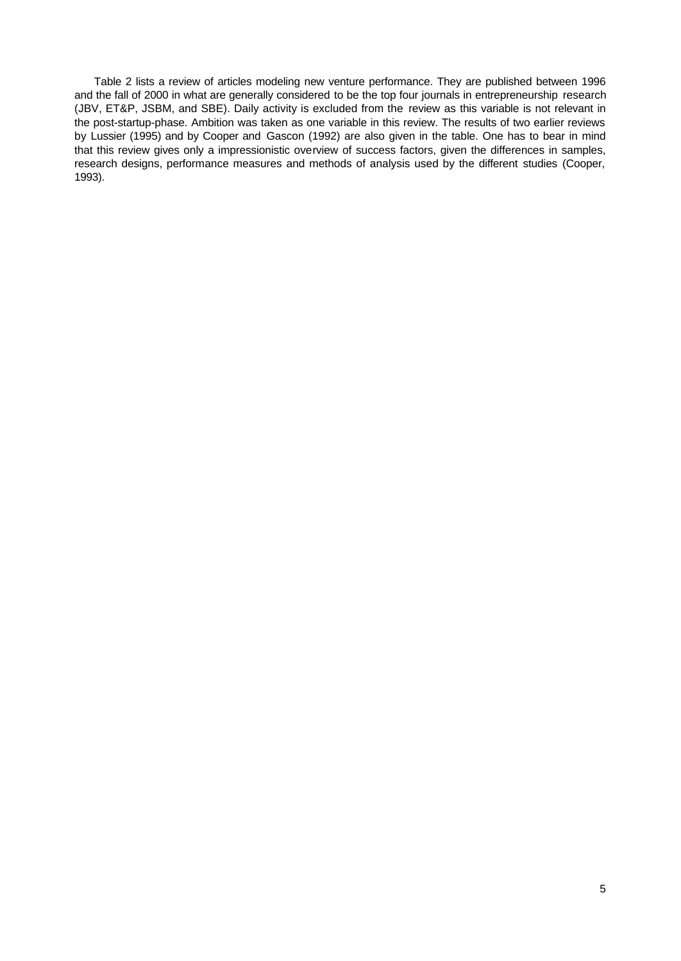Table 2 lists a review of articles modeling new venture performance. They are published between 1996 and the fall of 2000 in what are generally considered to be the top four journals in entrepreneurship research (JBV, ET&P, JSBM, and SBE). Daily activity is excluded from the review as this variable is not relevant in the post-startup-phase. Ambition was taken as one variable in this review. The results of two earlier reviews by Lussier (1995) and by Cooper and Gascon (1992) are also given in the table. One has to bear in mind that this review gives only a impressionistic overview of success factors, given the differences in samples, research designs, performance measures and methods of analysis used by the different studies (Cooper, 1993).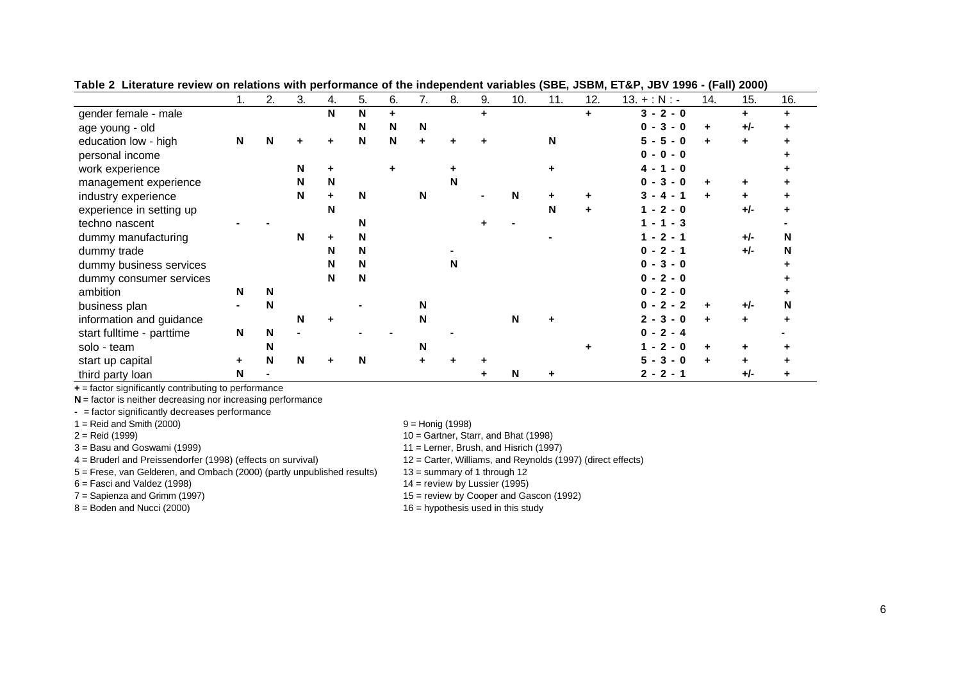|                           |   | 2.          | 3. | 4. | 5. | 6. | 7. | 8. | 9. | 10.         | 11. | 12. | $13. + : N : -$           | 14. | 15. | 16. |
|---------------------------|---|-------------|----|----|----|----|----|----|----|-------------|-----|-----|---------------------------|-----|-----|-----|
| gender female - male      |   |             |    | N  | N  | ÷  |    |    | ÷  |             |     | ÷   | $3 - 2 - 0$               |     |     |     |
| age young - old           |   |             |    |    | N  | N  | N  |    |    |             |     |     | $3 - 0$<br>$\mathbf{0}$ - | ÷   | +/- |     |
| education low - high      | N | N           |    |    | N  | N  |    |    |    |             | N   |     | 5<br>5<br>- 0             | ÷   |     |     |
| personal income           |   |             |    |    |    |    |    |    |    |             |     |     | $0 - 0 - 0$               |     |     |     |
| work experience           |   |             | N  |    |    |    |    |    |    |             |     |     | 4 -<br>- 0<br>-1          |     |     |     |
| management experience     |   |             | N  | N  |    |    |    | N  |    |             |     |     | $3 - 0$<br>0              | ٠   |     |     |
| industry experience       |   |             | N  |    | N  |    | N  |    |    | N           |     |     | 4 -                       | ÷   |     |     |
| experience in setting up  |   |             |    | N  |    |    |    |    |    |             | N   | ÷.  | $1 - 2 - 0$               |     | +/- |     |
| techno nascent            |   |             |    |    | N  |    |    |    |    |             |     |     | 1 - 1 - 3                 |     |     |     |
| dummy manufacturing       |   |             | N  |    | N  |    |    |    |    |             |     |     | $1 - 2 - 1$               |     | +/- | N   |
| dummy trade               |   |             |    | N  | N  |    |    |    |    |             |     |     | $0 - 2 - 1$               |     | +/- | N   |
| dummy business services   |   |             |    | N  | N  |    |    | N  |    |             |     |     | $0 - 3 - 0$               |     |     |     |
| dummy consumer services   |   |             |    | N  | N  |    |    |    |    |             |     |     | $0 - 2 - 0$               |     |     |     |
| ambition                  | N | N           |    |    |    |    |    |    |    |             |     |     | $0 - 2 - 0$               |     |     |     |
| business plan             |   | N           |    |    |    |    | N  |    |    |             |     |     | $0 - 2 - 2$               | ÷   | +/- | N   |
| information and guidance  |   |             | N  |    |    |    | N  |    |    | $\mathbf N$ |     |     | $2 - 3 - 0$               | ÷   | ÷   |     |
| start fulltime - parttime | N | $\mathbf N$ |    |    |    |    |    |    |    |             |     |     | $0 - 2 - 4$               |     |     |     |
| solo - team               |   | N           |    |    |    |    | N  |    |    |             |     |     | $2 - 0$                   |     |     |     |
| start up capital          | ٠ | N           | N  |    | N  |    |    |    |    |             |     |     | $3 - 0$<br>5              |     |     |     |
| third party loan          | N |             |    |    |    |    |    |    |    | N           |     |     | $2 - 2 - 1$               |     | +/- |     |

**Table 2 Literature review on relations with performance of the independent variables (SBE, JSBM, ET&P, JBV 1996 - (Fall) 2000)**

**+** = factor significantly contributing to performance

**N** = factor is neither decreasing nor increasing performance

**-** = factor significantly decreases performance

 $1 =$  Reid and Smith (2000)  $9 =$  Honig (1998)

4 = Bruderl and Preissendorfer (1998) (effects on survival) 12 = Carter, Williams, and Reynolds (1997) (direct effects)

5 = Frese, van Gelderen, and Ombach (2000) (partly unpublished results) 13 = summary of 1 through 12

2 = Reid (1999) 10 = Gartner, Starr, and Bhat (1998)

3 = Basu and Goswami (1999) 11 = Lerner, Brush, and Hisrich (1997)

 $6 =$  Fasci and Valdez (1998) 14 = review by Lussier (1995)

7 = Sapienza and Grimm (1997) 15 = review by Cooper and Gascon (1992)

 $8 =$  Boden and Nucci (2000) 16 = hypothesis used in this study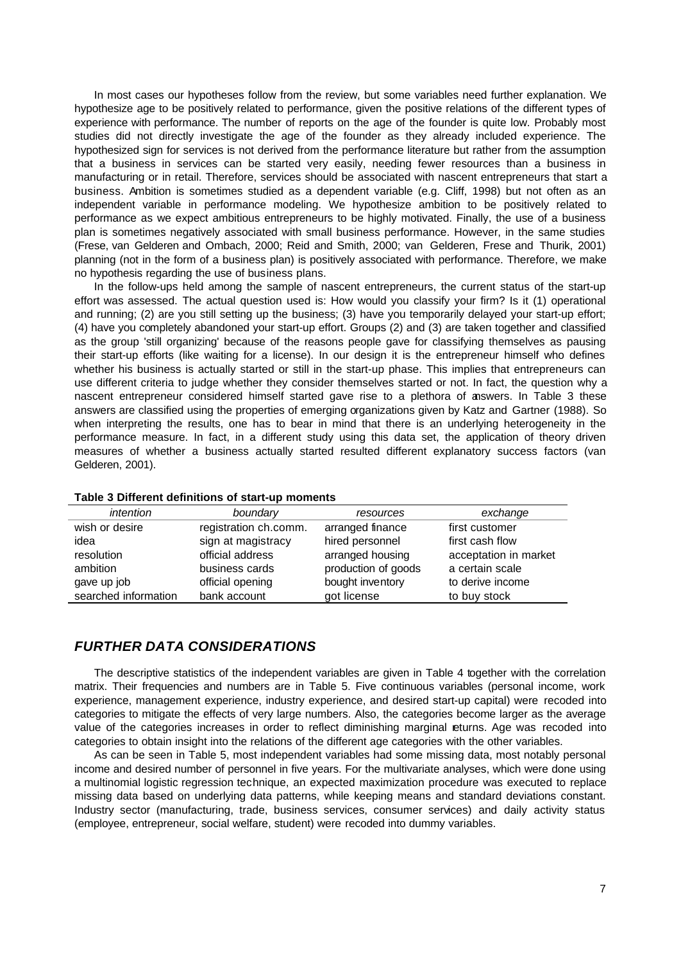In most cases our hypotheses follow from the review, but some variables need further explanation. We hypothesize age to be positively related to performance, given the positive relations of the different types of experience with performance. The number of reports on the age of the founder is quite low. Probably most studies did not directly investigate the age of the founder as they already included experience. The hypothesized sign for services is not derived from the performance literature but rather from the assumption that a business in services can be started very easily, needing fewer resources than a business in manufacturing or in retail. Therefore, services should be associated with nascent entrepreneurs that start a business. Ambition is sometimes studied as a dependent variable (e.g. Cliff, 1998) but not often as an independent variable in performance modeling. We hypothesize ambition to be positively related to performance as we expect ambitious entrepreneurs to be highly motivated. Finally, the use of a business plan is sometimes negatively associated with small business performance. However, in the same studies (Frese, van Gelderen and Ombach, 2000; Reid and Smith, 2000; van Gelderen, Frese and Thurik, 2001) planning (not in the form of a business plan) is positively associated with performance. Therefore, we make no hypothesis regarding the use of business plans.

In the follow-ups held among the sample of nascent entrepreneurs, the current status of the start-up effort was assessed. The actual question used is: How would you classify your firm? Is it (1) operational and running; (2) are you still setting up the business; (3) have you temporarily delayed your start-up effort; (4) have you completely abandoned your start-up effort. Groups (2) and (3) are taken together and classified as the group 'still organizing' because of the reasons people gave for classifying themselves as pausing their start-up efforts (like waiting for a license). In our design it is the entrepreneur himself who defines whether his business is actually started or still in the start-up phase. This implies that entrepreneurs can use different criteria to judge whether they consider themselves started or not. In fact, the question why a nascent entrepreneur considered himself started gave rise to a plethora of answers. In Table 3 these answers are classified using the properties of emerging organizations given by Katz and Gartner (1988). So when interpreting the results, one has to bear in mind that there is an underlying heterogeneity in the performance measure. In fact, in a different study using this data set, the application of theory driven measures of whether a business actually started resulted different explanatory success factors (van Gelderen, 2001).

| intention            | boundary              | resources           | exchange              |
|----------------------|-----------------------|---------------------|-----------------------|
| wish or desire       | registration ch.comm. | arranged finance    | first customer        |
| idea                 | sign at magistracy    | hired personnel     | first cash flow       |
| resolution           | official address      | arranged housing    | acceptation in market |
| ambition             | business cards        | production of goods | a certain scale       |
| gave up job          | official opening      | bought inventory    | to derive income      |
| searched information | bank account          | got license         | to buy stock          |

#### **Table 3 Different definitions of start-up moments**

## *FURTHER DATA CONSIDERATIONS*

The descriptive statistics of the independent variables are given in Table 4 together with the correlation matrix. Their frequencies and numbers are in Table 5. Five continuous variables (personal income, work experience, management experience, industry experience, and desired start-up capital) were recoded into categories to mitigate the effects of very large numbers. Also, the categories become larger as the average value of the categories increases in order to reflect diminishing marginal eturns. Age was recoded into categories to obtain insight into the relations of the different age categories with the other variables.

As can be seen in Table 5, most independent variables had some missing data, most notably personal income and desired number of personnel in five years. For the multivariate analyses, which were done using a multinomial logistic regression technique, an expected maximization procedure was executed to replace missing data based on underlying data patterns, while keeping means and standard deviations constant. Industry sector (manufacturing, trade, business services, consumer services) and daily activity status (employee, entrepreneur, social welfare, student) were recoded into dummy variables.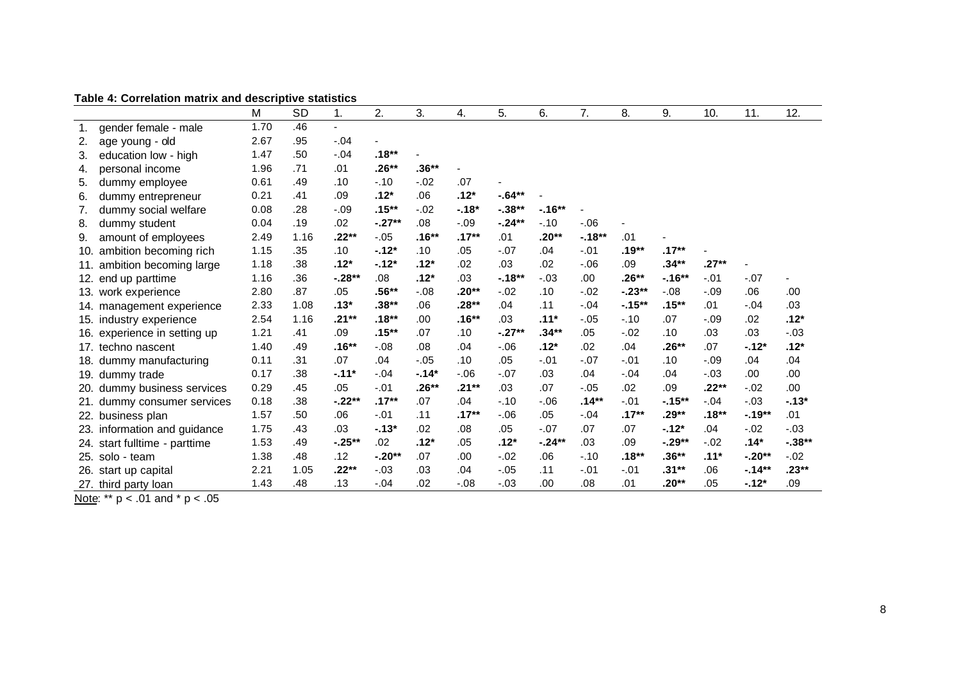|     | Table 4: Correlation matrix and descriptive statistics |      |      |          |                  |         |          |           |           |          |           |           |         |          |          |
|-----|--------------------------------------------------------|------|------|----------|------------------|---------|----------|-----------|-----------|----------|-----------|-----------|---------|----------|----------|
|     |                                                        | м    | SD   | 1.       | 2.               | 3.      | 4.       | 5.        | 6.        | 7.       | 8.        | 9.        | 10.     | 11.      | 12.      |
|     | gender female - male                                   | 1.70 | .46  |          |                  |         |          |           |           |          |           |           |         |          |          |
| 2.  | age young - old                                        | 2.67 | .95  | $-.04$   |                  |         |          |           |           |          |           |           |         |          |          |
| 3.  | education low - high                                   | 1.47 | .50  | $-.04$   | $.18**$          |         |          |           |           |          |           |           |         |          |          |
| 4.  | personal income                                        | 1.96 | .71  | .01      | .26**            | $.36**$ |          |           |           |          |           |           |         |          |          |
| 5.  | dummy employee                                         | 0.61 | .49  | .10      | $-.10$           | $-.02$  | .07      |           |           |          |           |           |         |          |          |
| 6.  | dummy entrepreneur                                     | 0.21 | .41  | .09      | $.12*$           | .06     | $.12*$   | $-64**$   |           |          |           |           |         |          |          |
| 7.  | dummy social welfare                                   | 0.08 | .28  | $-.09$   | $.15***$         | $-.02$  | $-.18*$  | $-0.38**$ | $-16**$   |          |           |           |         |          |          |
| 8.  | dummy student                                          | 0.04 | .19  | .02      | $-.27**$         | .08     | $-.09$   | $-.24**$  | $-.10$    | $-06$    |           |           |         |          |          |
| 9.  | amount of employees                                    | 2.49 | 1.16 | .22**    | $-.05$           | .16**   | $.17**$  | .01       | $.20**$   | $-.18**$ | .01       |           |         |          |          |
| 10. | ambition becoming rich                                 | 1.15 | .35  | .10      | $-.12*$          | .10     | .05      | $-.07$    | .04       | $-.01$   | .19**     | $.17**$   |         |          |          |
| 11. | ambition becoming large                                | 1.18 | .38  | $.12*$   | $-12*$           | $.12*$  | .02      | .03       | .02       | $-0.06$  | .09       | .34**     | $.27**$ |          |          |
| 12. | end up parttime                                        | 1.16 | .36  | $-.28**$ | .08 <sub>0</sub> | $.12*$  | .03      | $-18**$   | $-.03$    | .00      | .26**     | $-16**$   | $-.01$  | $-.07$   |          |
|     | 13. work experience                                    | 2.80 | .87  | .05      | .56**            | $-.08$  | .20**    | $-.02$    | .10       | $-0.02$  | $-0.23**$ | $-.08$    | $-.09$  | .06      | .00      |
|     | 14. management experience                              | 2.33 | 1.08 | $.13*$   | $.38**$          | .06     | .28**    | .04       | .11       | $-.04$   | $-15**$   | $.15***$  | .01     | $-.04$   | .03      |
|     | 15. industry experience                                | 2.54 | 1.16 | .21**    | $.18**$          | .00     | $.16***$ | .03       | $.11*$    | $-.05$   | $-.10$    | .07       | $-.09$  | .02      | $.12*$   |
|     | 16. experience in setting up                           | 1.21 | .41  | .09      | $.15***$         | .07     | .10      | $-0.27**$ | .34**     | .05      | $-.02$    | .10       | .03     | .03      | $-.03$   |
|     | 17. techno nascent                                     | 1.40 | .49  | $.16**$  | $-.08$           | .08     | .04      | $-06$     | $.12*$    | .02      | .04       | $.26**$   | .07     | $-.12*$  | $.12*$   |
|     | 18. dummy manufacturing                                | 0.11 | .31  | .07      | .04              | $-.05$  | .10      | .05       | $-.01$    | $-.07$   | $-.01$    | .10       | $-.09$  | .04      | .04      |
|     | 19. dummy trade                                        | 0.17 | .38  | $-.11*$  | $-.04$           | $-14*$  | $-06$    | $-.07$    | .03       | .04      | $-.04$    | .04       | $-.03$  | .00.     | .00      |
|     | 20. dummy business services                            | 0.29 | .45  | .05      | $-.01$           | .26**   | .21**    | .03       | .07       | $-.05$   | .02       | .09       | .22**   | $-.02$   | .00      |
|     | dummy consumer services                                | 0.18 | .38  | $-.22**$ | $.17***$         | .07     | .04      | $-.10$    | $-0.06$   | $.14**$  | $-.01$    | $-15***$  | $-.04$  | $-.03$   | $-13*$   |
|     | 22. business plan                                      | 1.57 | .50  | .06      | $-.01$           | .11     | $.17***$ | $-06$     | .05       | $-.04$   | $.17***$  | .29**     | $.18**$ | $-19**$  | .01      |
|     | 23. information and guidance                           | 1.75 | .43  | .03      | $-13*$           | .02     | .08      | .05       | $-.07$    | .07      | .07       | $-.12*$   | .04     | $-.02$   | $-.03$   |
|     | 24. start fulltime - parttime                          | 1.53 | .49  | $-.25**$ | .02              | $.12*$  | .05      | $.12*$    | $-0.24**$ | .03      | .09       | $-0.29**$ | $-02$   | $.14*$   | $-.38**$ |
| 25. | solo - team                                            | 1.38 | .48  | .12      | $-.20**$         | .07     | .00      | $-.02$    | .06       | $-.10$   | $.18***$  | $.36**$   | $.11*$  | $-.20**$ | $-0.02$  |
| 26. | start up capital                                       | 2.21 | 1.05 | .22**    | $-.03$           | .03     | .04      | $-0.05$   | .11       | $-.01$   | $-.01$    | .31**     | .06     | $-14**$  | .23**    |
|     | 27. third party loan                                   | 1.43 | .48  | .13      | $-.04$           | .02     | $-.08$   | $-.03$    | .00       | .08      | .01       | .20**     | .05     | $-12*$   | .09      |

**Table 4: Correlation matrix and descriptive statistics**

Note: \*\*  $p < .01$  and \*  $p < .05$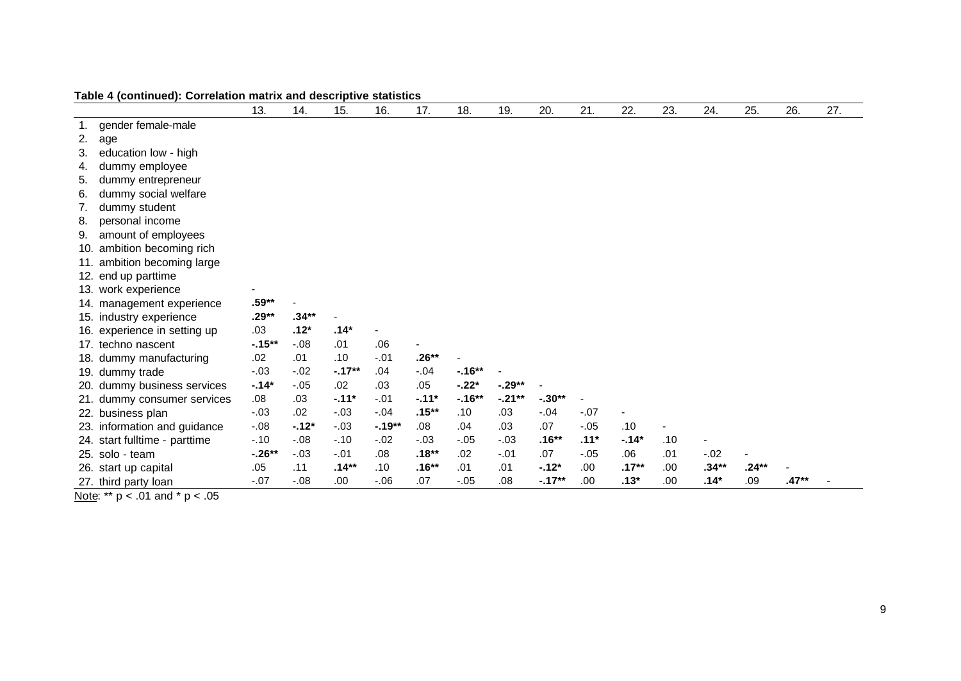|     |                              | 13.      | 14.     | 15.      | 16.     | 17.      | 18.      | 19.       | 20.      | 21.    | 22.      | 23.  | 24.     | 25.     | 26.   | 27. |
|-----|------------------------------|----------|---------|----------|---------|----------|----------|-----------|----------|--------|----------|------|---------|---------|-------|-----|
|     | gender female-male           |          |         |          |         |          |          |           |          |        |          |      |         |         |       |     |
| 2.  | age                          |          |         |          |         |          |          |           |          |        |          |      |         |         |       |     |
| 3.  | education low - high         |          |         |          |         |          |          |           |          |        |          |      |         |         |       |     |
| 4.  | dummy employee               |          |         |          |         |          |          |           |          |        |          |      |         |         |       |     |
| 5.  | dummy entrepreneur           |          |         |          |         |          |          |           |          |        |          |      |         |         |       |     |
| 6.  | dummy social welfare         |          |         |          |         |          |          |           |          |        |          |      |         |         |       |     |
| 7.  | dummy student                |          |         |          |         |          |          |           |          |        |          |      |         |         |       |     |
| 8.  | personal income              |          |         |          |         |          |          |           |          |        |          |      |         |         |       |     |
| 9.  | amount of employees          |          |         |          |         |          |          |           |          |        |          |      |         |         |       |     |
| 10. | ambition becoming rich       |          |         |          |         |          |          |           |          |        |          |      |         |         |       |     |
| 11. | ambition becoming large      |          |         |          |         |          |          |           |          |        |          |      |         |         |       |     |
| 12. | end up parttime              |          |         |          |         |          |          |           |          |        |          |      |         |         |       |     |
| 13. | work experience              |          |         |          |         |          |          |           |          |        |          |      |         |         |       |     |
|     | 14. management experience    | $.59**$  |         |          |         |          |          |           |          |        |          |      |         |         |       |     |
|     | 15. industry experience      | $.29**$  | $.34**$ |          |         |          |          |           |          |        |          |      |         |         |       |     |
|     | 16. experience in setting up | .03      | $.12*$  | $.14*$   |         |          |          |           |          |        |          |      |         |         |       |     |
|     | 17. techno nascent           | $-15**$  | $-.08$  | .01      | .06     |          |          |           |          |        |          |      |         |         |       |     |
| 18. | dummy manufacturing          | .02      | .01     | .10      | $-.01$  | $.26**$  |          |           |          |        |          |      |         |         |       |     |
| 19. | dummy trade                  | $-.03$   | $-.02$  | $-.17**$ | .04     | $-.04$   | $-.16**$ |           |          |        |          |      |         |         |       |     |
|     | 20. dummy business services  | $-14*$   | $-.05$  | .02      | .03     | .05      | $-.22*$  | $-0.29**$ |          |        |          |      |         |         |       |     |
| 21. | dummy consumer services      | .08      | .03     | $-.11*$  | $-.01$  | $-.11*$  | $-.16**$ | $-21**$   | $-.30**$ |        |          |      |         |         |       |     |
|     | 22. business plan            | $-.03$   | .02     | $-.03$   | $-.04$  | $.15***$ | .10      | .03       | $-.04$   | $-.07$ |          |      |         |         |       |     |
|     | 23. information and guidance | $-.08$   | $-.12*$ | $-.03$   | $-19**$ | .08      | .04      | .03       | .07      | $-.05$ | .10      |      |         |         |       |     |
| 24. | start fulltime - parttime    | $-.10$   | $-.08$  | $-.10$   | $-.02$  | $-.03$   | $-.05$   | $-.03$    | $.16**$  | $.11*$ | $-14*$   | .10  | ÷       |         |       |     |
| 25. | solo - team                  | $-.26**$ | $-.03$  | $-.01$   | .08     | $.18**$  | .02      | $-.01$    | .07      | $-.05$ | .06      | .01  | $-.02$  |         |       |     |
|     | 26. start up capital         | .05      | .11     | $.14***$ | .10     | $.16**$  | .01      | .01       | $-12*$   | .00.   | $.17***$ | .00. | $.34**$ | $.24**$ |       |     |
|     | 27. third party loan         | $-.07$   | $-.08$  | .00      | $-0.06$ | .07      | $-.05$   | .08       | $-.17**$ | .00.   | $.13*$   | .00. | $.14*$  | .09     | .47** |     |

**Table 4 (continued): Correlation matrix and descriptive statistics**

Note: \*\*  $p < .01$  and \*  $p < .05$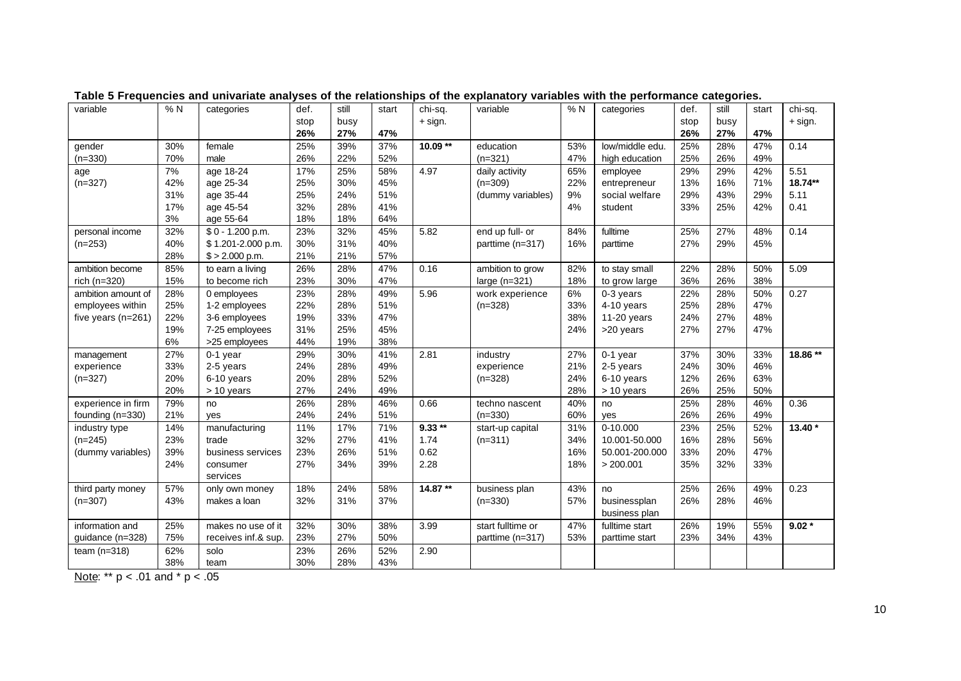| variable             | % N | categories          | def. | still | start | chi-sq.  | variable          | %N  | categories      | def. | still | start | chi-sq.  |
|----------------------|-----|---------------------|------|-------|-------|----------|-------------------|-----|-----------------|------|-------|-------|----------|
|                      |     |                     | stop | busy  |       | + sign.  |                   |     |                 | stop | busy  |       | + sign.  |
|                      |     |                     | 26%  | 27%   | 47%   |          |                   |     |                 | 26%  | 27%   | 47%   |          |
| gender               | 30% | female              | 25%  | 39%   | 37%   | 10.09 ** | education         | 53% | low/middle edu. | 25%  | 28%   | 47%   | 0.14     |
| $(n=330)$            | 70% | male                | 26%  | 22%   | 52%   |          | $(n=321)$         | 47% | high education  | 25%  | 26%   | 49%   |          |
| age                  | 7%  | age 18-24           | 17%  | 25%   | 58%   | 4.97     | daily activity    | 65% | employee        | 29%  | 29%   | 42%   | 5.51     |
| $(n=327)$            | 42% | age 25-34           | 25%  | 30%   | 45%   |          | $(n=309)$         | 22% | entrepreneur    | 13%  | 16%   | 71%   | 18.74**  |
|                      | 31% | age 35-44           | 25%  | 24%   | 51%   |          | (dummy variables) | 9%  | social welfare  | 29%  | 43%   | 29%   | 5.11     |
|                      | 17% | age 45-54           | 32%  | 28%   | 41%   |          |                   | 4%  | student         | 33%  | 25%   | 42%   | 0.41     |
|                      | 3%  | age 55-64           | 18%  | 18%   | 64%   |          |                   |     |                 |      |       |       |          |
| personal income      | 32% | $$0 - 1.200 p.m.$   | 23%  | 32%   | 45%   | 5.82     | end up full- or   | 84% | fulltime        | 25%  | 27%   | 48%   | 0.14     |
| $(n=253)$            | 40% | \$1.201-2.000 p.m.  | 30%  | 31%   | 40%   |          | parttime (n=317)  | 16% | parttime        | 27%  | 29%   | 45%   |          |
|                      | 28% | $$ > 2.000$ p.m.    | 21%  | 21%   | 57%   |          |                   |     |                 |      |       |       |          |
| ambition become      | 85% | to earn a living    | 26%  | 28%   | 47%   | 0.16     | ambition to grow  | 82% | to stay small   | 22%  | 28%   | 50%   | 5.09     |
| rich (n=320)         | 15% | to become rich      | 23%  | 30%   | 47%   |          | large $(n=321)$   | 18% | to grow large   | 36%  | 26%   | 38%   |          |
| ambition amount of   | 28% | 0 employees         | 23%  | 28%   | 49%   | 5.96     | work experience   | 6%  | 0-3 years       | 22%  | 28%   | 50%   | 0.27     |
| employees within     | 25% | 1-2 employees       | 22%  | 28%   | 51%   |          | $(n=328)$         | 33% | 4-10 years      | 25%  | 28%   | 47%   |          |
| five years $(n=261)$ | 22% | 3-6 employees       | 19%  | 33%   | 47%   |          |                   | 38% | $11-20$ years   | 24%  | 27%   | 48%   |          |
|                      | 19% | 7-25 employees      | 31%  | 25%   | 45%   |          |                   | 24% | >20 years       | 27%  | 27%   | 47%   |          |
|                      | 6%  | >25 employees       | 44%  | 19%   | 38%   |          |                   |     |                 |      |       |       |          |
| management           | 27% | 0-1 year            | 29%  | 30%   | 41%   | 2.81     | industry          | 27% | 0-1 year        | 37%  | 30%   | 33%   | 18.86 ** |
| experience           | 33% | 2-5 years           | 24%  | 28%   | 49%   |          | experience        | 21% | 2-5 years       | 24%  | 30%   | 46%   |          |
| $(n=327)$            | 20% | 6-10 years          | 20%  | 28%   | 52%   |          | $(n=328)$         | 24% | 6-10 years      | 12%  | 26%   | 63%   |          |
|                      | 20% | > 10 years          | 27%  | 24%   | 49%   |          |                   | 28% | > 10 years      | 26%  | 25%   | 50%   |          |
| experience in firm   | 79% | no                  | 26%  | 28%   | 46%   | 0.66     | techno nascent    | 40% | no              | 25%  | 28%   | 46%   | 0.36     |
| founding (n=330)     | 21% | yes                 | 24%  | 24%   | 51%   |          | $(n=330)$         | 60% | yes             | 26%  | 26%   | 49%   |          |
| industry type        | 14% | manufacturing       | 11%  | 17%   | 71%   | $9.33**$ | start-up capital  | 31% | 0-10.000        | 23%  | 25%   | 52%   | 13.40 *  |
| $(n=245)$            | 23% | trade               | 32%  | 27%   | 41%   | 1.74     | $(n=311)$         | 34% | 10.001-50.000   | 16%  | 28%   | 56%   |          |
| (dummy variables)    | 39% | business services   | 23%  | 26%   | 51%   | 0.62     |                   | 16% | 50.001-200.000  | 33%  | 20%   | 47%   |          |
|                      | 24% | consumer            | 27%  | 34%   | 39%   | 2.28     |                   | 18% | > 200.001       | 35%  | 32%   | 33%   |          |
|                      |     | services            |      |       |       |          |                   |     |                 |      |       |       |          |
| third party money    | 57% | only own money      | 18%  | 24%   | 58%   | 14.87**  | business plan     | 43% | no              | 25%  | 26%   | 49%   | 0.23     |
| $(n=307)$            | 43% | makes a loan        | 32%  | 31%   | 37%   |          | $(n=330)$         | 57% | businessplan    | 26%  | 28%   | 46%   |          |
|                      |     |                     |      |       |       |          |                   |     | business plan   |      |       |       |          |
| information and      | 25% | makes no use of it  | 32%  | 30%   | 38%   | 3.99     | start fulltime or | 47% | fulltime start  | 26%  | 19%   | 55%   | $9.02*$  |
| guidance (n=328)     | 75% | receives inf.& sup. | 23%  | 27%   | 50%   |          | parttime (n=317)  | 53% | parttime start  | 23%  | 34%   | 43%   |          |
| team $(n=318)$       | 62% | solo                | 23%  | 26%   | 52%   | 2.90     |                   |     |                 |      |       |       |          |
|                      | 38% | team                | 30%  | 28%   | 43%   |          |                   |     |                 |      |       |       |          |
|                      |     |                     |      |       |       |          |                   |     |                 |      |       |       |          |

**Table 5 Frequencies and univariate analyses of the relationships of the explanatory variables with the performance categories.**

Note: \*\* p < .01 and \* p < .05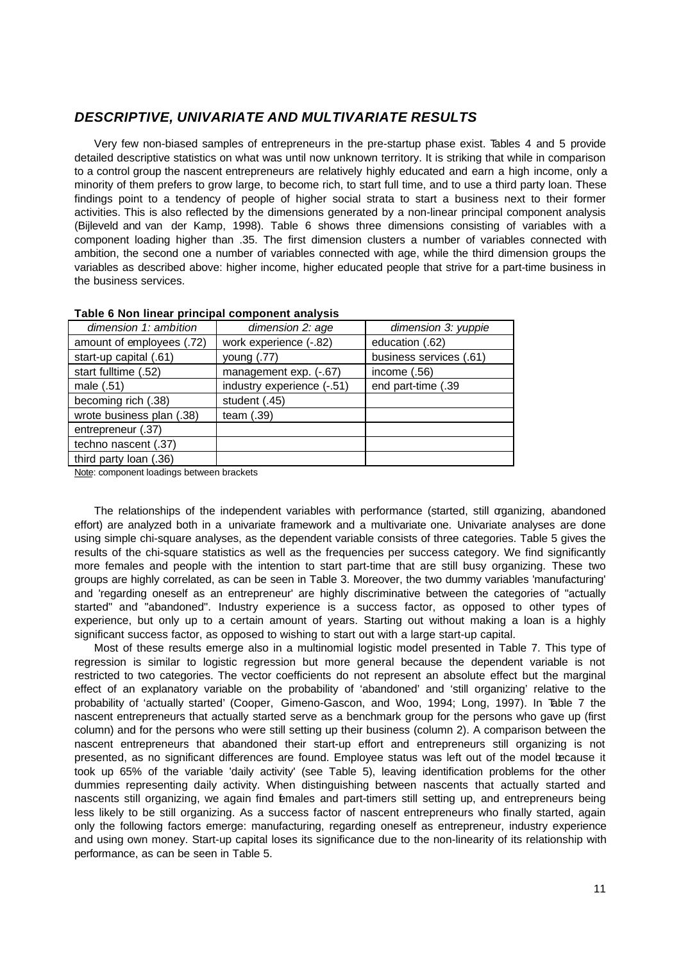## *DESCRIPTIVE, UNIVARIATE AND MULTIVARIATE RESULTS*

Very few non-biased samples of entrepreneurs in the pre-startup phase exist. Tables 4 and 5 provide detailed descriptive statistics on what was until now unknown territory. It is striking that while in comparison to a control group the nascent entrepreneurs are relatively highly educated and earn a high income, only a minority of them prefers to grow large, to become rich, to start full time, and to use a third party loan. These findings point to a tendency of people of higher social strata to start a business next to their former activities. This is also reflected by the dimensions generated by a non-linear principal component analysis (Bijleveld and van der Kamp, 1998). Table 6 shows three dimensions consisting of variables with a component loading higher than .35. The first dimension clusters a number of variables connected with ambition, the second one a number of variables connected with age, while the third dimension groups the variables as described above: higher income, higher educated people that strive for a part-time business in the business services.

| dimension 1: ambition     | dimension 2: age           | dimension 3: yuppie     |
|---------------------------|----------------------------|-------------------------|
| amount of employees (.72) | work experience (-.82)     | education (.62)         |
| start-up capital (.61)    | young (.77)                | business services (.61) |
| start fulltime (.52)      | management exp. (-.67)     | income $(.56)$          |
| male (.51)                | industry experience (-.51) | end part-time (.39      |
| becoming rich (.38)       | student (.45)              |                         |
| wrote business plan (.38) | team $(.39)$               |                         |
| entrepreneur (.37)        |                            |                         |
| techno nascent (.37)      |                            |                         |
| third party loan (.36)    |                            |                         |

#### **Table 6 Non linear principal component analysis**

Note: component loadings between brackets

The relationships of the independent variables with performance (started, still organizing, abandoned effort) are analyzed both in a univariate framework and a multivariate one. Univariate analyses are done using simple chi-square analyses, as the dependent variable consists of three categories. Table 5 gives the results of the chi-square statistics as well as the frequencies per success category. We find significantly more females and people with the intention to start part-time that are still busy organizing. These two groups are highly correlated, as can be seen in Table 3. Moreover, the two dummy variables 'manufacturing' and 'regarding oneself as an entrepreneur' are highly discriminative between the categories of "actually started" and "abandoned". Industry experience is a success factor, as opposed to other types of experience, but only up to a certain amount of years. Starting out without making a loan is a highly significant success factor, as opposed to wishing to start out with a large start-up capital.

Most of these results emerge also in a multinomial logistic model presented in Table 7. This type of regression is similar to logistic regression but more general because the dependent variable is not restricted to two categories. The vector coefficients do not represent an absolute effect but the marginal effect of an explanatory variable on the probability of 'abandoned' and 'still organizing' relative to the probability of 'actually started' (Cooper, Gimeno-Gascon, and Woo, 1994; Long, 1997). In Table 7 the nascent entrepreneurs that actually started serve as a benchmark group for the persons who gave up (first column) and for the persons who were still setting up their business (column 2). A comparison between the nascent entrepreneurs that abandoned their start-up effort and entrepreneurs still organizing is not presented, as no significant differences are found. Employee status was left out of the model because it took up 65% of the variable 'daily activity' (see Table 5), leaving identification problems for the other dummies representing daily activity. When distinguishing between nascents that actually started and nascents still organizing, we again find females and part-timers still setting up, and entrepreneurs being less likely to be still organizing. As a success factor of nascent entrepreneurs who finally started, again only the following factors emerge: manufacturing, regarding oneself as entrepreneur, industry experience and using own money. Start-up capital loses its significance due to the non-linearity of its relationship with performance, as can be seen in Table 5.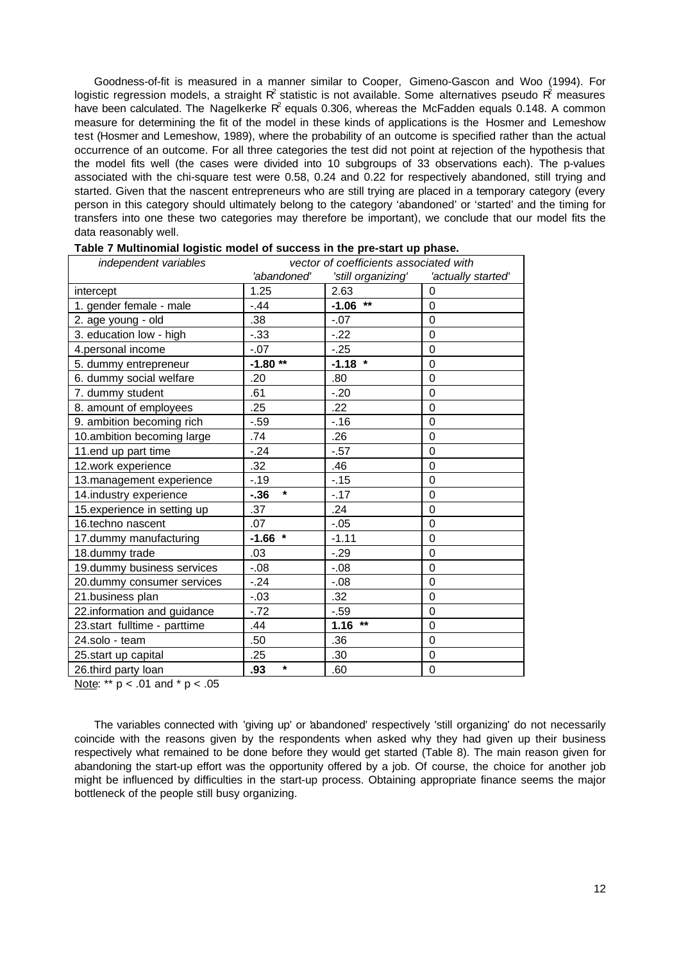Goodness-of-fit is measured in a manner similar to Cooper, Gimeno-Gascon and Woo (1994). For logistic regression models, a straight R<sup>2</sup> statistic is not available. Some alternatives pseudo R<sup>2</sup> measures have been calculated. The Nagelkerke R<sup>2</sup> equals 0.306, whereas the McFadden equals 0.148. A common measure for determining the fit of the model in these kinds of applications is the Hosmer and Lemeshow test (Hosmer and Lemeshow, 1989), where the probability of an outcome is specified rather than the actual occurrence of an outcome. For all three categories the test did not point at rejection of the hypothesis that the model fits well (the cases were divided into 10 subgroups of 33 observations each). The p-values associated with the chi-square test were 0.58, 0.24 and 0.22 for respectively abandoned, still trying and started. Given that the nascent entrepreneurs who are still trying are placed in a temporary category (every person in this category should ultimately belong to the category 'abandoned' or 'started' and the timing for transfers into one these two categories may therefore be important), we conclude that our model fits the data reasonably well.

| independent variables        | vector of coefficients associated with |                    |                    |  |  |  |  |  |
|------------------------------|----------------------------------------|--------------------|--------------------|--|--|--|--|--|
|                              | 'abandoned'                            | 'still organizing' | 'actually started' |  |  |  |  |  |
| intercept                    | 1.25                                   | 2.63               | 0                  |  |  |  |  |  |
| 1. gender female - male      | $-.44$                                 | $***$<br>$-1.06$   | $\Omega$           |  |  |  |  |  |
| 2. age young - old           | .38                                    | $-0.07$            | 0                  |  |  |  |  |  |
| 3. education low - high      | $-.33$                                 | $-22$              | $\mathbf 0$        |  |  |  |  |  |
| 4.personal income            | $-0.07$                                | $-25$              | $\mathbf 0$        |  |  |  |  |  |
| 5. dummy entrepreneur        | $-1.80**$                              | $-1.18$ *          | $\mathbf 0$        |  |  |  |  |  |
| 6. dummy social welfare      | .20                                    | .80                | 0                  |  |  |  |  |  |
| 7. dummy student             | .61                                    | $-20$              | $\mathbf 0$        |  |  |  |  |  |
| 8. amount of employees       | .25                                    | .22                | 0                  |  |  |  |  |  |
| 9. ambition becoming rich    | $-0.59$                                | $-16$              | $\mathbf 0$        |  |  |  |  |  |
| 10.ambition becoming large   | .74                                    | .26                | $\mathbf 0$        |  |  |  |  |  |
| 11.end up part time          | $-.24$                                 | $-57$              | 0                  |  |  |  |  |  |
| 12.work experience           | .32                                    | .46                | $\mathbf 0$        |  |  |  |  |  |
| 13. management experience    | $-19$                                  | $-15$              | 0                  |  |  |  |  |  |
| 14.industry experience       | $\star$<br>$-0.36$                     | $-.17$             | $\mathbf 0$        |  |  |  |  |  |
| 15.experience in setting up  | .37                                    | .24                | $\Omega$           |  |  |  |  |  |
| 16.techno nascent            | .07                                    | $-.05$             | $\mathbf 0$        |  |  |  |  |  |
| 17.dummy manufacturing       | $-1.66$ *                              | $-1.11$            | $\mathbf 0$        |  |  |  |  |  |
| 18.dummy trade               | .03                                    | $-29$              | 0                  |  |  |  |  |  |
| 19.dummy business services   | $-0.08$                                | $-0.08$            | $\mathbf 0$        |  |  |  |  |  |
| 20.dummy consumer services   | $-24$                                  | $-0.08$            | 0                  |  |  |  |  |  |
| 21.business plan             | $-.03$                                 | .32                | $\mathsf 0$        |  |  |  |  |  |
| 22.information and guidance  | $-72$                                  | $-59$              | $\mathbf 0$        |  |  |  |  |  |
| 23.start fulltime - parttime | .44                                    | $***$<br>1.16      | $\mathsf 0$        |  |  |  |  |  |
| 24.solo - team               | .50                                    | .36                | $\mathbf 0$        |  |  |  |  |  |
| 25.start up capital          | .25                                    | .30                | 0                  |  |  |  |  |  |
| 26.third party loan          | $\star$<br>.93                         | .60                | $\mathbf 0$        |  |  |  |  |  |

Note: \*\* p < .01 and \* p < .05

The variables connected with 'giving up' or 'abandoned' respectively 'still organizing' do not necessarily coincide with the reasons given by the respondents when asked why they had given up their business respectively what remained to be done before they would get started (Table 8). The main reason given for abandoning the start-up effort was the opportunity offered by a job. Of course, the choice for another job might be influenced by difficulties in the start-up process. Obtaining appropriate finance seems the major bottleneck of the people still busy organizing.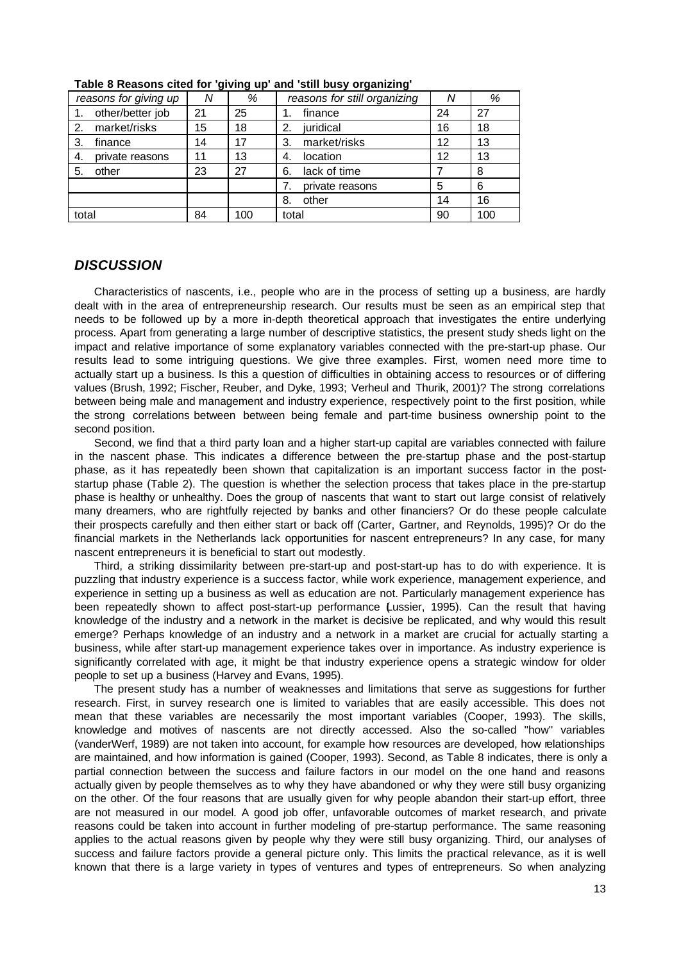|       | reasons for giving up | Ν  | %   | reasons for still organizing | Ν                 | %   |
|-------|-----------------------|----|-----|------------------------------|-------------------|-----|
|       | other/better job      | 21 | 25  | finance                      | 24                | 27  |
| 2.    | market/risks          | 15 | 18  | juridical<br>2.              | 16                | 18  |
| 3.    | finance               | 14 | 17  | market/risks<br>З.           | 12                | 13  |
| 4.    | private reasons       | 11 | 13  | location<br>-4.              | $12 \overline{ }$ | 13  |
| 5.    | other                 | 23 | 27  | lack of time<br>6.           |                   | 8   |
|       |                       |    |     | private reasons              | 5                 | 6   |
|       |                       |    |     | other<br>8.                  | 14                | 16  |
| total |                       | 84 | 100 | total                        | 90                | 100 |

**Table 8 Reasons cited for 'giving up' and 'still busy organizing'**

#### *DISCUSSION*

Characteristics of nascents, i.e., people who are in the process of setting up a business, are hardly dealt with in the area of entrepreneurship research. Our results must be seen as an empirical step that needs to be followed up by a more in-depth theoretical approach that investigates the entire underlying process. Apart from generating a large number of descriptive statistics, the present study sheds light on the impact and relative importance of some explanatory variables connected with the pre-start-up phase. Our results lead to some intriguing questions. We give three examples. First, women need more time to actually start up a business. Is this a question of difficulties in obtaining access to resources or of differing values (Brush, 1992; Fischer, Reuber, and Dyke, 1993; Verheul and Thurik, 2001)? The strong correlations between being male and management and industry experience, respectively point to the first position, while the strong correlations between between being female and part-time business ownership point to the second position.

Second, we find that a third party loan and a higher start-up capital are variables connected with failure in the nascent phase. This indicates a difference between the pre-startup phase and the post-startup phase, as it has repeatedly been shown that capitalization is an important success factor in the poststartup phase (Table 2). The question is whether the selection process that takes place in the pre-startup phase is healthy or unhealthy. Does the group of nascents that want to start out large consist of relatively many dreamers, who are rightfully rejected by banks and other financiers? Or do these people calculate their prospects carefully and then either start or back off (Carter, Gartner, and Reynolds, 1995)? Or do the financial markets in the Netherlands lack opportunities for nascent entrepreneurs? In any case, for many nascent entrepreneurs it is beneficial to start out modestly.

Third, a striking dissimilarity between pre-start-up and post-start-up has to do with experience. It is puzzling that industry experience is a success factor, while work experience, management experience, and experience in setting up a business as well as education are not. Particularly management experience has been repeatedly shown to affect post-start-up performance Lussier, 1995). Can the result that having knowledge of the industry and a network in the market is decisive be replicated, and why would this result emerge? Perhaps knowledge of an industry and a network in a market are crucial for actually starting a business, while after start-up management experience takes over in importance. As industry experience is significantly correlated with age, it might be that industry experience opens a strategic window for older people to set up a business (Harvey and Evans, 1995).

The present study has a number of weaknesses and limitations that serve as suggestions for further research. First, in survey research one is limited to variables that are easily accessible. This does not mean that these variables are necessarily the most important variables (Cooper, 1993). The skills, knowledge and motives of nascents are not directly accessed. Also the so-called ''how'' variables (vanderWerf, 1989) are not taken into account, for example how resources are developed, how relationships are maintained, and how information is gained (Cooper, 1993). Second, as Table 8 indicates, there is only a partial connection between the success and failure factors in our model on the one hand and reasons actually given by people themselves as to why they have abandoned or why they were still busy organizing on the other. Of the four reasons that are usually given for why people abandon their start-up effort, three are not measured in our model. A good job offer, unfavorable outcomes of market research, and private reasons could be taken into account in further modeling of pre-startup performance. The same reasoning applies to the actual reasons given by people why they were still busy organizing. Third, our analyses of success and failure factors provide a general picture only. This limits the practical relevance, as it is well known that there is a large variety in types of ventures and types of entrepreneurs. So when analyzing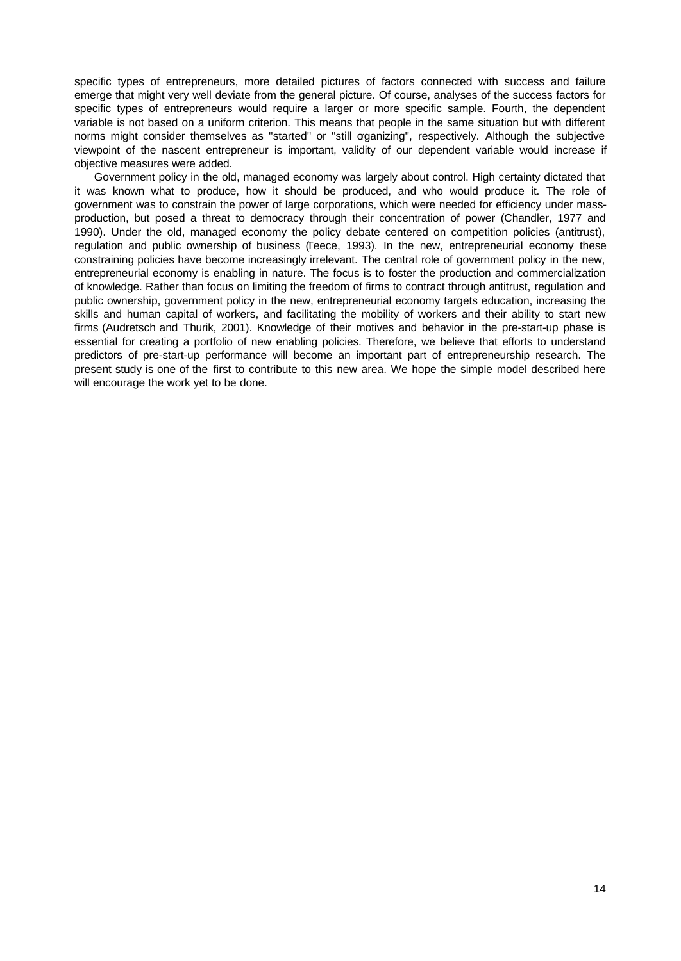specific types of entrepreneurs, more detailed pictures of factors connected with success and failure emerge that might very well deviate from the general picture. Of course, analyses of the success factors for specific types of entrepreneurs would require a larger or more specific sample. Fourth, the dependent variable is not based on a uniform criterion. This means that people in the same situation but with different norms might consider themselves as "started" or "still organizing", respectively. Although the subjective viewpoint of the nascent entrepreneur is important, validity of our dependent variable would increase if objective measures were added.

Government policy in the old, managed economy was largely about control. High certainty dictated that it was known what to produce, how it should be produced, and who would produce it. The role of government was to constrain the power of large corporations, which were needed for efficiency under massproduction, but posed a threat to democracy through their concentration of power (Chandler, 1977 and 1990). Under the old, managed economy the policy debate centered on competition policies (antitrust), regulation and public ownership of business (Teece, 1993). In the new, entrepreneurial economy these constraining policies have become increasingly irrelevant. The central role of government policy in the new, entrepreneurial economy is enabling in nature. The focus is to foster the production and commercialization of knowledge. Rather than focus on limiting the freedom of firms to contract through antitrust, regulation and public ownership, government policy in the new, entrepreneurial economy targets education, increasing the skills and human capital of workers, and facilitating the mobility of workers and their ability to start new firms (Audretsch and Thurik, 2001). Knowledge of their motives and behavior in the pre-start-up phase is essential for creating a portfolio of new enabling policies. Therefore, we believe that efforts to understand predictors of pre-start-up performance will become an important part of entrepreneurship research. The present study is one of the first to contribute to this new area. We hope the simple model described here will encourage the work yet to be done.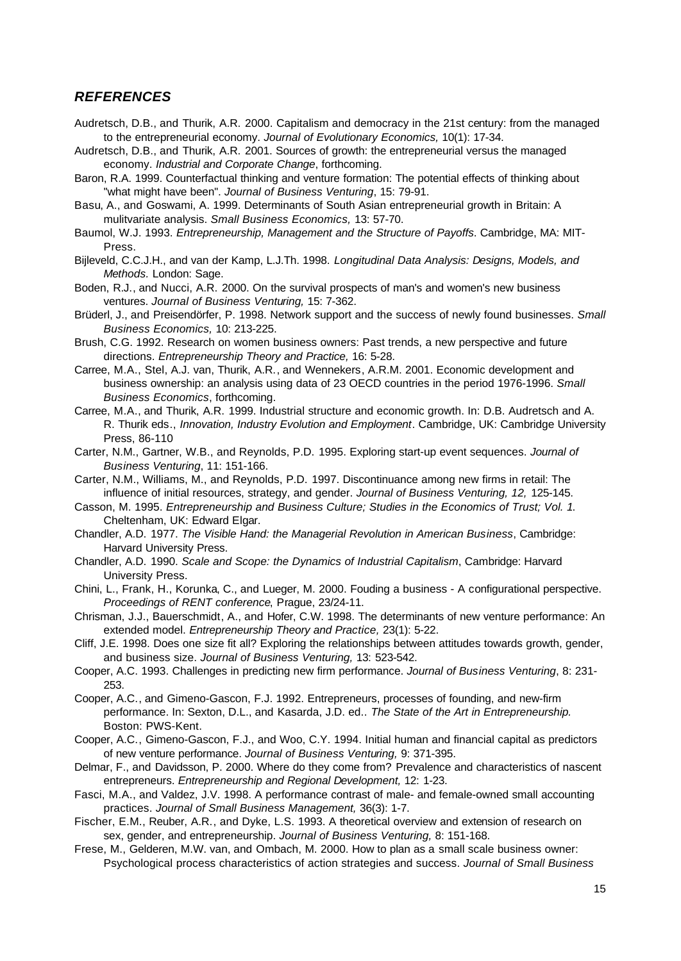## *REFERENCES*

Audretsch, D.B., and Thurik, A.R. 2000. Capitalism and democracy in the 21st century: from the managed to the entrepreneurial economy. *Journal of Evolutionary Economics,* 10(1): 17-34.

Audretsch, D.B., and Thurik, A.R. 2001. Sources of growth: the entrepreneurial versus the managed economy. *Industrial and Corporate Change*, forthcoming.

- Baron, R.A. 1999. Counterfactual thinking and venture formation: The potential effects of thinking about ''what might have been''. *Journal of Business Venturing*, 15: 79-91.
- Basu, A., and Goswami, A. 1999. Determinants of South Asian entrepreneurial growth in Britain: A mulitvariate analysis. *Small Business Economics,* 13: 57-70.

Baumol, W.J. 1993. *Entrepreneurship, Management and the Structure of Payoffs*. Cambridge, MA: MIT-Press.

Bijleveld, C.C.J.H., and van der Kamp, L.J.Th. 1998. *Longitudinal Data Analysis: Designs, Models, and Methods.* London: Sage.

Boden, R.J., and Nucci, A.R. 2000. On the survival prospects of man's and women's new business ventures. *Journal of Business Venturing,* 15: 7-362.

Brüderl, J., and Preisendörfer, P. 1998. Network support and the success of newly found businesses. *Small Business Economics,* 10: 213-225.

Brush, C.G. 1992. Research on women business owners: Past trends, a new perspective and future directions. *Entrepreneurship Theory and Practice,* 16: 5-28.

- Carree, M.A., Stel, A.J. van, Thurik, A.R., and Wennekers, A.R.M. 2001. Economic development and business ownership: an analysis using data of 23 OECD countries in the period 1976-1996. *Small Business Economics*, forthcoming.
- Carree, M.A., and Thurik, A.R. 1999. Industrial structure and economic growth. In: D.B. Audretsch and A. R. Thurik eds., *Innovation, Industry Evolution and Employment*. Cambridge, UK: Cambridge University Press, 86-110
- Carter, N.M., Gartner, W.B., and Reynolds, P.D. 1995. Exploring start-up event sequences. *Journal of Business Venturing*, 11: 151-166.

Carter, N.M., Williams, M., and Reynolds, P.D. 1997. Discontinuance among new firms in retail: The influence of initial resources, strategy, and gender. *Journal of Business Venturing, 12,* 125-145.

- Casson, M. 1995. *Entrepreneurship and Business Culture; Studies in the Economics of Trust; Vol. 1*. Cheltenham, UK: Edward Elgar.
- Chandler, A.D. 1977. *The Visible Hand: the Managerial Revolution in American Business*, Cambridge: Harvard University Press.
- Chandler, A.D. 1990. *Scale and Scope: the Dynamics of Industrial Capitalism*, Cambridge: Harvard University Press.
- Chini, L., Frank, H., Korunka, C., and Lueger, M. 2000. Fouding a business A configurational perspective. *Proceedings of RENT conference*, Prague, 23/24-11.
- Chrisman, J.J., Bauerschmidt, A., and Hofer, C.W. 1998. The determinants of new venture performance: An extended model. *Entrepreneurship Theory and Practice,* 23(1): 5-22.
- Cliff, J.E. 1998. Does one size fit all? Exploring the relationships between attitudes towards growth, gender, and business size. *Journal of Business Venturing,* 13: 523-542.
- Cooper, A.C. 1993. Challenges in predicting new firm performance. *Journal of Business Venturing*, 8: 231- 253.

Cooper, A.C., and Gimeno-Gascon, F.J. 1992. Entrepreneurs, processes of founding, and new-firm performance. In: Sexton, D.L., and Kasarda, J.D. ed.. *The State of the Art in Entrepreneurship.* Boston: PWS-Kent.

Cooper, A.C., Gimeno-Gascon, F.J., and Woo, C.Y. 1994. Initial human and financial capital as predictors of new venture performance. *Journal of Business Venturing,* 9: 371-395.

Delmar, F., and Davidsson, P. 2000. Where do they come from? Prevalence and characteristics of nascent entrepreneurs. *Entrepreneurship and Regional Development,* 12: 1-23.

- Fasci, M.A., and Valdez, J.V. 1998. A performance contrast of male- and female-owned small accounting practices. *Journal of Small Business Management,* 36(3): 1-7.
- Fischer, E.M., Reuber, A.R., and Dyke, L.S. 1993. A theoretical overview and extension of research on sex, gender, and entrepreneurship. *Journal of Business Venturing,* 8: 151-168.
- Frese, M., Gelderen, M.W. van, and Ombach, M. 2000. How to plan as a small scale business owner: Psychological process characteristics of action strategies and success. *Journal of Small Business*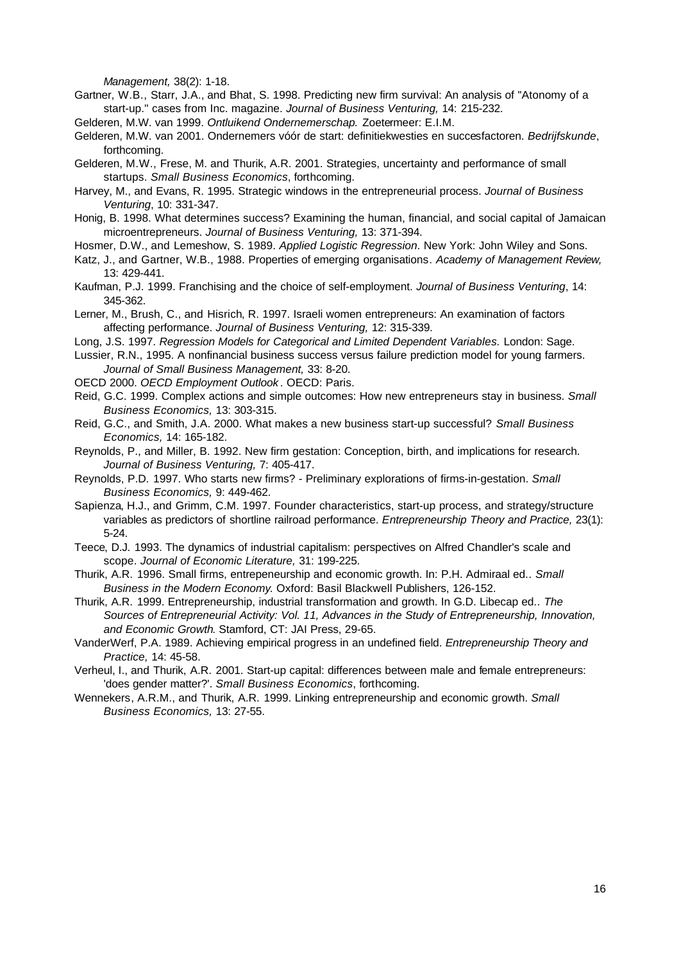*Management,* 38(2): 1-18.

- Gartner, W.B., Starr, J.A., and Bhat, S. 1998. Predicting new firm survival: An analysis of ''Atonomy of a start-up.'' cases from Inc. magazine. *Journal of Business Venturing,* 14: 215-232.
- Gelderen, M.W. van 1999. *Ontluikend Ondernemerschap.* Zoetermeer: E.I.M.
- Gelderen, M.W. van 2001. Ondernemers vóór de start: definitiekwesties en succesfactoren. *Bedrijfskunde*, forthcoming.
- Gelderen, M.W., Frese, M. and Thurik, A.R. 2001. Strategies, uncertainty and performance of small startups. *Small Business Economics*, forthcoming.
- Harvey, M., and Evans, R. 1995. Strategic windows in the entrepreneurial process. *Journal of Business Venturing*, 10: 331-347.
- Honig, B. 1998. What determines success? Examining the human, financial, and social capital of Jamaican microentrepreneurs. *Journal of Business Venturing,* 13: 371-394.
- Hosmer, D.W., and Lemeshow, S. 1989. *Applied Logistic Regression*. New York: John Wiley and Sons.
- Katz, J., and Gartner, W.B., 1988. Properties of emerging organisations. *Academy of Management Review,* 13: 429-441.
- Kaufman, P.J. 1999. Franchising and the choice of self-employment. *Journal of Business Venturing*, 14: 345-362.
- Lerner, M., Brush, C., and Hisrich, R. 1997. Israeli women entrepreneurs: An examination of factors affecting performance. *Journal of Business Venturing,* 12: 315-339.
- Long, J.S. 1997. *Regression Models for Categorical and Limited Dependent Variables.* London: Sage.
- Lussier, R.N., 1995. A nonfinancial business success versus failure prediction model for young farmers. *Journal of Small Business Management,* 33: 8-20.
- OECD 2000. *OECD Employment Outlook* . OECD: Paris.
- Reid, G.C. 1999. Complex actions and simple outcomes: How new entrepreneurs stay in business. *Small Business Economics,* 13: 303-315.
- Reid, G.C., and Smith, J.A. 2000. What makes a new business start-up successful? *Small Business Economics,* 14: 165-182.
- Reynolds, P., and Miller, B. 1992. New firm gestation: Conception, birth, and implications for research. *Journal of Business Venturing,* 7: 405-417.
- Reynolds, P.D. 1997. Who starts new firms? Preliminary explorations of firms-in-gestation. *Small Business Economics,* 9: 449-462.
- Sapienza, H.J., and Grimm, C.M. 1997. Founder characteristics, start-up process, and strategy/structure variables as predictors of shortline railroad performance. *Entrepreneurship Theory and Practice,* 23(1): 5-24.
- Teece, D.J. 1993. The dynamics of industrial capitalism: perspectives on Alfred Chandler's scale and scope. *Journal of Economic Literature,* 31: 199-225.
- Thurik, A.R. 1996. Small firms, entrepeneurship and economic growth. In: P.H. Admiraal ed.. *Small Business in the Modern Economy*. Oxford: Basil Blackwell Publishers, 126-152.
- Thurik, A.R. 1999. Entrepreneurship, industrial transformation and growth. In G.D. Libecap ed.. *The Sources of Entrepreneurial Activity: Vol. 11, Advances in the Study of Entrepreneurship, Innovation, and Economic Growth*. Stamford, CT: JAI Press, 29-65.
- VanderWerf, P.A. 1989. Achieving empirical progress in an undefined field. *Entrepreneurship Theory and Practice,* 14: 45-58.
- Verheul, I., and Thurik, A.R. 2001. Start-up capital: differences between male and female entrepreneurs: 'does gender matter?'. *Small Business Economics*, forthcoming.
- Wennekers, A.R.M., and Thurik, A.R. 1999. Linking entrepreneurship and economic growth. *Small Business Economics,* 13: 27-55.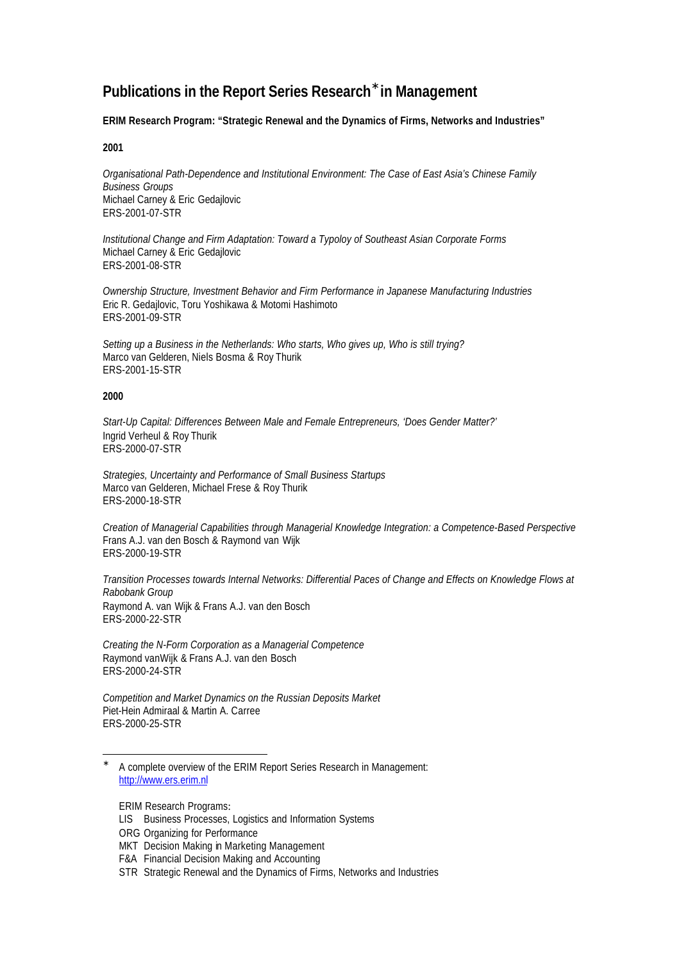## **Publications in the Report Series Research\* in Management**

#### **ERIM Research Program: "Strategic Renewal and the Dynamics of Firms, Networks and Industries"**

#### **2001**

*Organisational Path-Dependence and Institutional Environment: The Case of East Asia's Chinese Family Business Groups* Michael Carney & Eric Gedajlovic ERS-2001-07-STR

*Institutional Change and Firm Adaptation: Toward a Typoloy of Southeast Asian Corporate Forms* Michael Carney & Eric Gedajlovic ERS-2001-08-STR

*Ownership Structure, Investment Behavior and Firm Performance in Japanese Manufacturing Industries* Eric R. Gedajlovic, Toru Yoshikawa & Motomi Hashimoto ERS-2001-09-STR

*Setting up a Business in the Netherlands: Who starts, Who gives up, Who is still trying?* Marco van Gelderen, Niels Bosma & Roy Thurik ERS-2001-15-STR

#### **2000**

l

*Start-Up Capital: Differences Between Male and Female Entrepreneurs, 'Does Gender Matter?'* Ingrid Verheul & Roy Thurik ERS-2000-07-STR

*Strategies, Uncertainty and Performance of Small Business Startups* Marco van Gelderen, Michael Frese & Roy Thurik ERS-2000-18-STR

*Creation of Managerial Capabilities through Managerial Knowledge Integration: a Competence-Based Perspective* Frans A.J. van den Bosch & Raymond van Wijk ERS-2000-19-STR

*Transition Processes towards Internal Networks: Differential Paces of Change and Effects on Knowledge Flows at Rabobank Group* Raymond A. van Wijk & Frans A.J. van den Bosch ERS-2000-22-STR

*Creating the N-Form Corporation as a Managerial Competence* Raymond vanWijk & Frans A.J. van den Bosch ERS-2000-24-STR

*Competition and Market Dynamics on the Russian Deposits Market* Piet-Hein Admiraal & Martin A. Carree ERS-2000-25-STR

ERIM Research Programs:

<sup>∗</sup> A complete overview of the ERIM Report Series Research in Management: http://www.ers.erim.nl

LIS Business Processes, Logistics and Information Systems

ORG Organizing for Performance

MKT Decision Making in Marketing Management

F&A Financial Decision Making and Accounting

STR Strategic Renewal and the Dynamics of Firms, Networks and Industries